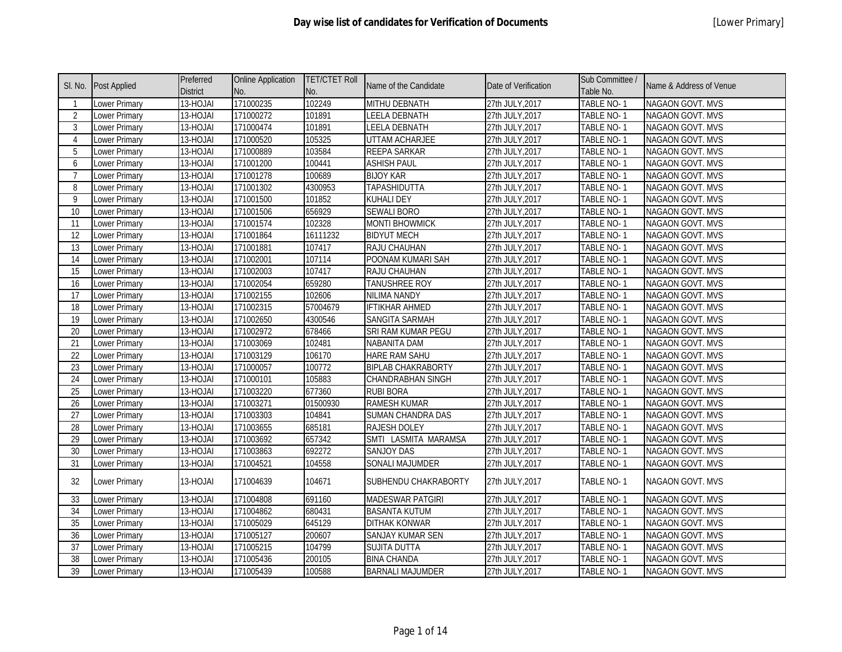| SI. No.         | <b>Post Applied</b>  | Preferred<br><b>District</b> | <b>Online Application</b><br>No. | <b>TET/CTET Roll</b><br>No. | Name of the Candidate     | Date of Verification | Sub Committee /<br>Table No. | Name & Address of Venue |
|-----------------|----------------------|------------------------------|----------------------------------|-----------------------------|---------------------------|----------------------|------------------------------|-------------------------|
|                 | Lower Primary        | 13-HOJAI                     | 171000235                        | 102249                      | <b>MITHU DEBNATH</b>      | 27th JULY, 2017      | <b>TABLE NO-1</b>            | <b>NAGAON GOVT. MVS</b> |
| $\overline{2}$  | <b>Lower Primary</b> | 13-HOJAI                     | 171000272                        | 101891                      | <b>LEELA DEBNATH</b>      | 27th JULY, 2017      | <b>TABLE NO-1</b>            | NAGAON GOVT. MVS        |
| 3               | Lower Primary        | 13-HOJAI                     | 171000474                        | 101891                      | <b>LEELA DEBNATH</b>      | 27th JULY, 2017      | TABLE NO-1                   | NAGAON GOVT. MVS        |
| $\overline{4}$  | Lower Primary        | 13-HOJAI                     | 171000520                        | 105325                      | UTTAM ACHARJEE            | 27th JULY, 2017      | TABLE NO-1                   | NAGAON GOVT. MVS        |
| 5               | Lower Primary        | 13-HOJAI                     | 171000889                        | 103584                      | REEPA SARKAR              | 27th JULY, 2017      | TABLE NO-1                   | NAGAON GOVT. MVS        |
| 6               | Lower Primary        | 13-HOJAI                     | 171001200                        | 100441                      | <b>ASHISH PAUL</b>        | 27th JULY, 2017      | TABLE NO-1                   | NAGAON GOVT. MVS        |
| $\overline{7}$  | Lower Primary        | 13-HOJAI                     | 171001278                        | 100689                      | <b>BIJOY KAR</b>          | 27th JULY, 2017      | TABLE NO-1                   | NAGAON GOVT. MVS        |
| 8               | Lower Primary        | 13-HOJAI                     | 171001302                        | 4300953                     | <b>TAPASHIDUTTA</b>       | 27th JULY, 2017      | TABLE NO-1                   | NAGAON GOVT. MVS        |
| 9               | Lower Primary        | 13-HOJAI                     | 171001500                        | 101852                      | KUHALI DEY                | 27th JULY, 2017      | TABLE NO-1                   | NAGAON GOVT. MVS        |
| 10              | <b>Lower Primary</b> | 13-HOJAI                     | 171001506                        | 656929                      | <b>SEWALI BORO</b>        | 27th JULY, 2017      | TABLE NO-1                   | NAGAON GOVT. MVS        |
| 11              | <b>Lower Primary</b> | 13-HOJAI                     | 171001574                        | 102328                      | <b>MONTI BHOWMICK</b>     | 27th JULY, 2017      | TABLE NO-1                   | NAGAON GOVT. MVS        |
| 12              | Lower Primary        | 13-HOJAI                     | 171001864                        | 16111232                    | <b>BIDYUT MECH</b>        | 27th JULY, 2017      | TABLE NO-1                   | NAGAON GOVT. MVS        |
| 13              | Lower Primary        | $13-HOJAI$                   | 171001881                        | 107417                      | RAJU CHAUHAN              | 27th JULY, 2017      | TABLE NO-1                   | NAGAON GOVT. MVS        |
| 14              | Lower Primary        | 13-HOJAI                     | 171002001                        | 107114                      | POONAM KUMARI SAH         | 27th JULY, 2017      | TABLE NO-1                   | NAGAON GOVT. MVS        |
| 15              | <b>Lower Primary</b> | 13-HOJAI                     | 171002003                        | 107417                      | RAJU CHAUHAN              | 27th JULY, 2017      | TABLE NO-1                   | NAGAON GOVT. MVS        |
| 16              | <b>Lower Primary</b> | 13-HOJAI                     | 171002054                        | 659280                      | <b>TANUSHREE ROY</b>      | 27th JULY, 2017      | TABLE NO-1                   | NAGAON GOVT. MVS        |
| 17              | Lower Primary        | 13-HOJAI                     | 171002155                        | 102606                      | NILIMA NANDY              | 27th JULY, 2017      | <b>TABLE NO-1</b>            | NAGAON GOVT. MVS        |
| 18              | <b>Lower Primary</b> | 13-HOJAI                     | 171002315                        | 57004679                    | <b>IFTIKHAR AHMED</b>     | 27th JULY, 2017      | TABLE NO-1                   | NAGAON GOVT. MVS        |
| $\overline{19}$ | <b>Lower Primary</b> | 13-HOJAI                     | 171002650                        | 4300546                     | <b>SANGITA SARMAH</b>     | 27th JULY, 2017      | <b>TABLE NO-1</b>            | NAGAON GOVT. MVS        |
| 20              | <b>Lower Primary</b> | 13-HOJAI                     | 171002972                        | 678466                      | SRI RAM KUMAR PEGU        | 27th JULY, 2017      | TABLE NO-1                   | NAGAON GOVT. MVS        |
| $\overline{21}$ | Lower Primary        | 13-HOJAI                     | 171003069                        | 102481                      | NABANITA DAM              | 27th JULY, 2017      | TABLE NO-1                   | NAGAON GOVT. MVS        |
| 22              | <b>Lower Primary</b> | 13-HOJAI                     | 171003129                        | 106170                      | HARE RAM SAHU             | 27th JULY, 2017      | TABLE NO-1                   | NAGAON GOVT. MVS        |
| $\overline{23}$ | Lower Primary        | 13-HOJAI                     | 171000057                        | 100772                      | <b>BIPLAB CHAKRABORTY</b> | 27th JULY, 2017      | <b>TABLE NO-1</b>            | NAGAON GOVT. MVS        |
| $\overline{24}$ | Lower Primary        | 13-HOJAI                     | 171000101                        | 105883                      | CHANDRABHAN SINGH         | 27th JULY, 2017      | TABLE NO-1                   | NAGAON GOVT. MVS        |
| $\overline{25}$ | <b>Lower Primary</b> | 13-HOJAI                     | 171003220                        | 677360                      | <b>RUBI BORA</b>          | 27th JULY, 2017      | TABLE NO-1                   | NAGAON GOVT. MVS        |
| 26              | Lower Primary        | 13-HOJAI                     | 171003271                        | 01500930                    | <b>RAMESH KUMAR</b>       | 27th JULY, 2017      | TABLE NO-1                   | NAGAON GOVT. MVS        |
| 27              | <b>Lower Primary</b> | 13-HOJAI                     | 171003303                        | 104841                      | SUMAN CHANDRA DAS         | 27th JULY, 2017      | TABLE NO-1                   | NAGAON GOVT. MVS        |
| $\overline{28}$ | Lower Primary        | 13-HOJAI                     | 171003655                        | 685181                      | <b>RAJESH DOLEY</b>       | 27th JULY, 2017      | TABLE NO-1                   | NAGAON GOVT. MVS        |
| 29              | Lower Primary        | 13-HOJAI                     | 171003692                        | 657342                      | SMTI LASMITA MARAMSA      | 27th JULY, 2017      | TABLE NO-1                   | NAGAON GOVT. MVS        |
| 30              | Lower Primary        | 13-HOJAI                     | 171003863                        | 692272                      | SANJOY DAS                | 27th JULY, 2017      | TABLE NO-1                   | NAGAON GOVT. MVS        |
| $\overline{31}$ | Lower Primary        | 13-HOJAI                     | 171004521                        | 104558                      | SONALI MAJUMDER           | 27th JULY, 2017      | TABLE NO-1                   | NAGAON GOVT. MVS        |
| 32              | Lower Primary        | 13-HOJAI                     | 171004639                        | 104671                      | SUBHENDU CHAKRABORTY      | 27th JULY, 2017      | TABLE NO-1                   | NAGAON GOVT. MVS        |
| 33              | Lower Primary        | 13-HOJAI                     | 171004808                        | 691160                      | <b>MADESWAR PATGIRI</b>   | 27th JULY, 2017      | TABLE NO-1                   | NAGAON GOVT. MVS        |
| 34              | <b>Lower Primary</b> | 13-HOJAI                     | 171004862                        | 680431                      | <b>BASANTA KUTUM</b>      | 27th JULY, 2017      | TABLE NO-1                   | NAGAON GOVT. MVS        |
| 35              | <b>Lower Primary</b> | 13-HOJAI                     | 171005029                        | 645129                      | <b>DITHAK KONWAR</b>      | 27th JULY, 2017      | TABLE NO-1                   | NAGAON GOVT. MVS        |
| 36              | Lower Primary        | 13-HOJAI                     | 171005127                        | 200607                      | SANJAY KUMAR SEN          | 27th JULY, 2017      | TABLE NO-1                   | NAGAON GOVT. MVS        |
| 37              | Lower Primary        | 13-HOJAI                     | 171005215                        | 104799                      | SUJITA DUTTA              | 27th JULY, 2017      | TABLE NO-1                   | NAGAON GOVT. MVS        |
| 38              | Lower Primary        | 13-HOJAI                     | 171005436                        | 200105                      | <b>BINA CHANDA</b>        | 27th JULY, 2017      | TABLE NO-1                   | NAGAON GOVT. MVS        |
| 39              | Lower Primary        | 13-HOJAI                     | 171005439                        | 100588                      | <b>BARNALI MAJUMDER</b>   | 27th JULY, 2017      | <b>TABLE NO-1</b>            | NAGAON GOVT. MVS        |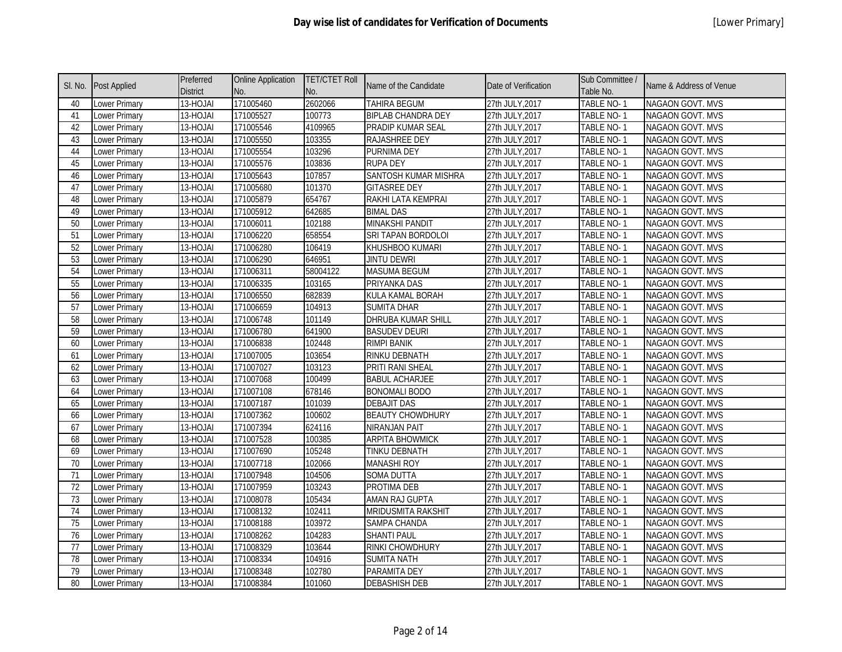| SI. No.         | <b>Post Applied</b> | Preferred<br><b>District</b> | <b>Online Application</b><br>No. | <b>TET/CTET Roll</b><br>No. | Name of the Candidate     | Date of Verification | Sub Committee /<br>Table No. | Name & Address of Venue |
|-----------------|---------------------|------------------------------|----------------------------------|-----------------------------|---------------------------|----------------------|------------------------------|-------------------------|
| 40              | Lower Primary       | 13-HOJAI                     | 171005460                        | 2602066                     | <b>TAHIRA BEGUM</b>       | 27th JULY, 2017      | TABLE NO-1                   | NAGAON GOVT. MVS        |
| 41              | Lower Primary       | 13-HOJAI                     | 171005527                        | 100773                      | <b>BIPLAB CHANDRA DEY</b> | 27th JULY, 2017      | TABLE NO-1                   | <b>NAGAON GOVT. MVS</b> |
| 42              | Lower Primary       | 13-HOJAI                     | 171005546                        | 4109965                     | PRADIP KUMAR SEAL         | 27th JULY, 2017      | TABLE NO-1                   | NAGAON GOVT. MVS        |
| 43              | Lower Primary       | 13-HOJAI                     | 171005550                        | 103355                      | <b>RAJASHREE DEY</b>      | 27th JULY, 2017      | TABLE NO-1                   | NAGAON GOVT. MVS        |
| 44              | Lower Primary       | 13-HOJAI                     | 171005554                        | 103296                      | PURNIMA DEY               | 27th JULY, 2017      | TABLE NO-1                   | NAGAON GOVT. MVS        |
| 45              | Lower Primary       | 13-HOJAI                     | 171005576                        | 103836                      | <b>RUPA DEY</b>           | 27th JULY, 2017      | TABLE NO-1                   | NAGAON GOVT. MVS        |
| 46              | Lower Primary       | 13-HOJAI                     | 171005643                        | 107857                      | SANTOSH KUMAR MISHRA      | 27th JULY, 2017      | TABLE NO-1                   | NAGAON GOVT. MVS        |
| $\overline{47}$ | Lower Primary       | 13-HOJAI                     | 171005680                        | 101370                      | <b>GITASREE DEY</b>       | 27th JULY, 2017      | <b>TABLE NO-1</b>            | NAGAON GOVT. MVS        |
| 48              | Lower Primary       | 13-HOJAI                     | 171005879                        | 654767                      | RAKHI LATA KEMPRAI        | 27th JULY, 2017      | TABLE NO-1                   | NAGAON GOVT. MVS        |
| 49              | Lower Primary       | 13-HOJAI                     | 171005912                        | 642685                      | <b>BIMAL DAS</b>          | 27th JULY, 2017      | TABLE NO-1                   | NAGAON GOVT. MVS        |
| 50              | Lower Primary       | 13-HOJAI                     | 171006011                        | 102188                      | <b>MINAKSHI PANDIT</b>    | 27th JULY, 2017      | TABLE NO-1                   | NAGAON GOVT. MVS        |
| 51              | Lower Primary       | 13-HOJAI                     | 171006220                        | 658554                      | SRI TAPAN BORDOLOI        | 27th JULY, 2017      | TABLE NO-1                   | NAGAON GOVT. MVS        |
| 52              | Lower Primary       | 13-HOJAI                     | 171006280                        | 106419                      | KHUSHBOO KUMARI           | 27th JULY, 2017      | TABLE NO-1                   | NAGAON GOVT. MVS        |
| 53              | Lower Primary       | 13-HOJAI                     | 171006290                        | 646951                      | <b>JINTU DEWRI</b>        | 27th JULY, 2017      | TABLE NO-1                   | NAGAON GOVT. MVS        |
| 54              | Lower Primary       | 13-HOJAI                     | 171006311                        | 58004122                    | <b>MASUMA BEGUM</b>       | 27th JULY, 2017      | <b>TABLE NO-1</b>            | <b>NAGAON GOVT. MVS</b> |
| 55              | Lower Primary       | 13-HOJAI                     | 171006335                        | 103165                      | PRIYANKA DAS              | 27th JULY, 2017      | <b>TABLE NO-1</b>            | <b>NAGAON GOVT. MVS</b> |
| 56              | Lower Primary       | 13-HOJAI                     | 171006550                        | 682839                      | KULA KAMAL BORAH          | 27th JULY, 2017      | TABLE NO-1                   | NAGAON GOVT. MVS        |
| 57              | Lower Primary       | 13-HOJAI                     | 171006659                        | 104913                      | <b>SUMITA DHAR</b>        | 27th JULY, 2017      | <b>TABLE NO-1</b>            | NAGAON GOVT. MVS        |
| 58              | Lower Primary       | 13-HOJAI                     | 171006748                        | 101149                      | <b>DHRUBA KUMAR SHILL</b> | 27th JULY, 2017      | TABLE NO-1                   | <b>NAGAON GOVT. MVS</b> |
| 59              | Lower Primary       | 13-HOJAI                     | 171006780                        | 641900                      | <b>BASUDEV DEURI</b>      | 27th JULY, 2017      | <b>TABLE NO-1</b>            | NAGAON GOVT. MVS        |
| 60              | Lower Primary       | 13-HOJAI                     | 171006838                        | 102448                      | <b>RIMPI BANIK</b>        | 27th JULY, 2017      | <b>TABLE NO-1</b>            | NAGAON GOVT. MVS        |
| 61              | Lower Primary       | 13-HOJAI                     | 171007005                        | 103654                      | <b>RINKU DEBNATH</b>      | 27th JULY, 2017      | TABLE NO-1                   | NAGAON GOVT. MVS        |
| 62              | Lower Primary       | 13-HOJAI                     | 171007027                        | 103123                      | PRITI RANI SHEAL          | 27th JULY, 2017      | TABLE NO-1                   | NAGAON GOVT. MVS        |
| 63              | Lower Primary       | 13-HOJAI                     | 171007068                        | 100499                      | <b>BABUL ACHARJEE</b>     | 27th JULY, 2017      | TABLE NO-1                   | NAGAON GOVT. MVS        |
| 64              | Lower Primary       | 13-HOJAI                     | 171007108                        | 678146                      | <b>BONOMALI BODO</b>      | 27th JULY, 2017      | TABLE NO-1                   | NAGAON GOVT. MVS        |
| 65              | Lower Primary       | 13-HOJAI                     | 171007187                        | 101039                      | <b>DEBAJIT DAS</b>        | 27th JULY, 2017      | TABLE NO-1                   | NAGAON GOVT. MVS        |
| 66              | Lower Primary       | 13-HOJAI                     | 171007362                        | 100602                      | <b>BEAUTY CHOWDHURY</b>   | 27th JULY, 2017      | TABLE NO-1                   | NAGAON GOVT. MVS        |
| 67              | Lower Primary       | 13-HOJAI                     | 171007394                        | 624116                      | NIRANJAN PAIT             | 27th JULY, 2017      | TABLE NO-1                   | NAGAON GOVT. MVS        |
| 68              | Lower Primary       | 13-HOJAI                     | 171007528                        | 100385                      | <b>ARPITA BHOWMICK</b>    | 27th JULY, 2017      | TABLE NO-1                   | NAGAON GOVT. MVS        |
| 69              | Lower Primary       | 13-HOJAI                     | 171007690                        | 105248                      | TINKU DEBNATH             | 27th JULY, 2017      | TABLE NO-1                   | NAGAON GOVT. MVS        |
| $70\,$          | Lower Primary       | 13-HOJAI                     | 171007718                        | 102066                      | <b>MANASHI ROY</b>        | 27th JULY, 2017      | TABLE NO-1                   | NAGAON GOVT. MVS        |
| 71              | Lower Primary       | 13-HOJAI                     | 171007948                        | 104506                      | <b>SOMA DUTTA</b>         | 27th JULY, 2017      | TABLE NO-1                   | NAGAON GOVT. MVS        |
| 72              | Lower Primary       | 13-HOJAI                     | 171007959                        | 103243                      | PROTIMA DEB               | 27th JULY, 2017      | TABLE NO-1                   | NAGAON GOVT. MVS        |
| $\overline{73}$ | Lower Primary       | 13-HOJAI                     | 171008078                        | 105434                      | AMAN RAJ GUPTA            | 27th JULY, 2017      | TABLE NO-1                   | NAGAON GOVT. MVS        |
| 74              | Lower Primary       | 13-HOJAI                     | 171008132                        | 102411                      | MRIDUSMITA RAKSHIT        | 27th JULY, 2017      | TABLE NO-1                   | NAGAON GOVT. MVS        |
| $\overline{75}$ | Lower Primary       | 13-HOJAI                     | 171008188                        | 103972                      | <b>SAMPA CHANDA</b>       | 27th JULY, 2017      | TABLE NO-1                   | NAGAON GOVT. MVS        |
| 76              | Lower Primary       | 13-HOJAI                     | 171008262                        | 104283                      | <b>SHANTI PAUL</b>        | 27th JULY, 2017      | TABLE NO-1                   | NAGAON GOVT. MVS        |
| $\overline{77}$ | Lower Primary       | 13-HOJAI                     | 171008329                        | 103644                      | RINKI CHOWDHURY           | 27th JULY, 2017      | TABLE NO-1                   | NAGAON GOVT. MVS        |
| 78              | Lower Primary       | 13-HOJAI                     | 171008334                        | 104916                      | <b>SUMITA NATH</b>        | 27th JULY, 2017      | TABLE NO-1                   | NAGAON GOVT. MVS        |
| 79              | Lower Primary       | 13-HOJAI                     | 171008348                        | 102780                      | PARAMITA DEY              | 27th JULY, 2017      | TABLE NO-1                   | NAGAON GOVT. MVS        |
| 80              | Lower Primary       | 13-HOJAI                     | 171008384                        | 101060                      | <b>DEBASHISH DEB</b>      | 27th JULY, 2017      | TABLE NO-1                   | NAGAON GOVT. MVS        |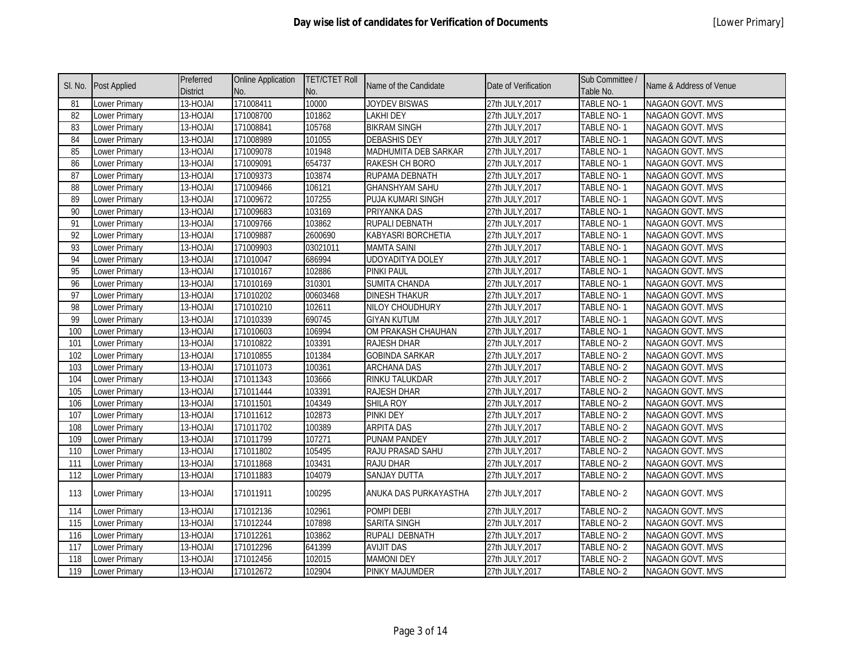| SI. No.         | <b>Post Applied</b>  | Preferred<br><b>District</b> | <b>Online Application</b><br>No. | <b>TET/CTET Roll</b><br>No. | Name of the Candidate   | Date of Verification | Sub Committee /<br>Table No. | Name & Address of Venue |
|-----------------|----------------------|------------------------------|----------------------------------|-----------------------------|-------------------------|----------------------|------------------------------|-------------------------|
| 81              | <b>Lower Primary</b> | 13-HOJAI                     | 171008411                        | 10000                       | <b>JOYDEV BISWAS</b>    | 27th JULY, 2017      | <b>TABLE NO-1</b>            | NAGAON GOVT. MVS        |
| 82              | <b>Lower Primary</b> | 13-HOJAI                     | 171008700                        | 101862                      | <b>LAKHI DEY</b>        | 27th JULY, 2017      | <b>TABLE NO-1</b>            | NAGAON GOVT. MVS        |
| 83              | <b>Lower Primary</b> | 13-HOJAI                     | 171008841                        | 105768                      | <b>BIKRAM SINGH</b>     | 27th JULY, 2017      | TABLE NO-1                   | <b>NAGAON GOVT. MVS</b> |
| 84              | Lower Primary        | 13-HOJAI                     | 171008989                        | 101055                      | <b>DEBASHIS DEY</b>     | 27th JULY, 2017      | TABLE NO-1                   | NAGAON GOVT. MVS        |
| 85              | Lower Primary        | 13-HOJAI                     | 171009078                        | 101948                      | MADHUMITA DEB SARKAR    | 27th JULY, 2017      | TABLE NO-1                   | NAGAON GOVT. MVS        |
| 86              | Lower Primary        | 13-HOJAI                     | 171009091                        | 654737                      | RAKESH CH BORO          | 27th JULY, 2017      | TABLE NO-1                   | NAGAON GOVT. MVS        |
| 87              | Lower Primary        | 13-HOJAI                     | 171009373                        | 103874                      | RUPAMA DEBNATH          | 27th JULY, 2017      | TABLE NO-1                   | NAGAON GOVT. MVS        |
| 88              | Lower Primary        | 13-HOJAI                     | 171009466                        | 106121                      | <b>GHANSHYAM SAHU</b>   | 27th JULY, 2017      | TABLE NO-1                   | NAGAON GOVT. MVS        |
| 89              | Lower Primary        | 13-HOJAI                     | 171009672                        | 107255                      | PUJA KUMARI SINGH       | 27th JULY, 2017      | TABLE NO-1                   | NAGAON GOVT. MVS        |
| 90              | Lower Primary        | 13-HOJAI                     | 171009683                        | 103169                      | PRIYANKA DAS            | 27th JULY, 2017      | TABLE NO-1                   | NAGAON GOVT. MVS        |
| 91              | Lower Primary        | 13-HOJAI                     | 171009766                        | 103862                      | RUPALI DEBNATH          | 27th JULY, 2017      | TABLE NO-1                   | NAGAON GOVT. MVS        |
| 92              | Lower Primary        | 13-HOJAI                     | 171009887                        | 2600690                     | KABYASRI BORCHETIA      | 27th JULY, 2017      | TABLE NO-1                   | NAGAON GOVT. MVS        |
| 93              | Lower Primary        | 13-HOJAI                     | 171009903                        | 03021011                    | <b>MAMTA SAINI</b>      | 27th JULY, 2017      | TABLE NO-1                   | NAGAON GOVT. MVS        |
| 94              | Lower Primary        | 13-HOJAI                     | 171010047                        | 686994                      | <b>UDOYADITYA DOLEY</b> | 27th JULY, 2017      | TABLE NO-1                   | NAGAON GOVT. MVS        |
| 95              | <b>Lower Primary</b> | 13-HOJAI                     | 171010167                        | 102886                      | PINKI PAUL              | 27th JULY, 2017      | TABLE NO-1                   | NAGAON GOVT. MVS        |
| 96              | Lower Primary        | 13-HOJAI                     | 171010169                        | 310301                      | <b>SUMITA CHANDA</b>    | 27th JULY, 2017      | TABLE NO-1                   | NAGAON GOVT. MVS        |
| $\overline{97}$ | Lower Primary        | 13-HOJAI                     | 171010202                        | 00603468                    | <b>DINESH THAKUR</b>    | 27th JULY, 2017      | TABLE NO-1                   | NAGAON GOVT. MVS        |
| 98              | Lower Primary        | 13-HOJAI                     | 171010210                        | 102611                      | NILOY CHOUDHURY         | 27th JULY, 2017      | TABLE NO-1                   | NAGAON GOVT. MVS        |
| 99              | Lower Primary        | 13-HOJAI                     | 171010339                        | 690745                      | <b>GIYAN KUTUM</b>      | 27th JULY, 2017      | <b>TABLE NO-1</b>            | NAGAON GOVT. MVS        |
| 100             | Lower Primary        | 13-HOJAI                     | 171010603                        | 106994                      | OM PRAKASH CHAUHAN      | 27th JULY, 2017      | TABLE NO-1                   | NAGAON GOVT. MVS        |
| 101             | <b>Lower Primary</b> | 13-HOJAI                     | 171010822                        | 103391                      | RAJESH DHAR             | 27th JULY, 2017      | TABLE NO-2                   | NAGAON GOVT. MVS        |
| 102             | Lower Primary        | 13-HOJAI                     | 171010855                        | 101384                      | <b>GOBINDA SARKAR</b>   | 27th JULY, 2017      | TABLE NO-2                   | NAGAON GOVT. MVS        |
| 103             | Lower Primary        | 13-HOJAI                     | 171011073                        | 100361                      | <b>ARCHANA DAS</b>      | 27th JULY, 2017      | TABLE NO-2                   | NAGAON GOVT. MVS        |
| 104             | <b>Lower Primary</b> | 13-HOJAI                     | 171011343                        | 103666                      | RINKU TALUKDAR          | 27th JULY, 2017      | TABLE NO-2                   | NAGAON GOVT. MVS        |
| 105             | <b>Lower Primary</b> | 13-HOJAI                     | 171011444                        | 103391                      | RAJESH DHAR             | 27th JULY, 2017      | TABLE NO-2                   | NAGAON GOVT. MVS        |
| 106             | Lower Primary        | 13-HOJAI                     | 171011501                        | 104349                      | <b>SHILA ROY</b>        | 27th JULY, 2017      | TABLE NO-2                   | NAGAON GOVT. MVS        |
| 107             | Lower Primary        | 13-HOJAI                     | 171011612                        | 102873                      | <b>PINKI DEY</b>        | 27th JULY, 2017      | TABLE NO-2                   | NAGAON GOVT. MVS        |
| 108             | Lower Primary        | 13-HOJAI                     | 171011702                        | 100389                      | <b>ARPITA DAS</b>       | 27th JULY, 2017      | TABLE NO-2                   | NAGAON GOVT. MVS        |
| 109             | Lower Primary        | 13-HOJAI                     | 171011799                        | 107271                      | PUNAM PANDEY            | 27th JULY, 2017      | TABLE NO-2                   | NAGAON GOVT. MVS        |
| 110             | Lower Primary        | 13-HOJAI                     | 171011802                        | 105495                      | RAJU PRASAD SAHU        | 27th JULY, 2017      | TABLE NO-2                   | NAGAON GOVT. MVS        |
| 111             | Lower Primary        | 13-HOJAI                     | 171011868                        | 103431                      | RAJU DHAR               | 27th JULY, 2017      | TABLE NO-2                   | NAGAON GOVT. MVS        |
| 112             | Lower Primary        | 13-HOJAI                     | 171011883                        | 104079                      | SANJAY DUTTA            | 27th JULY, 2017      | TABLE NO-2                   | NAGAON GOVT. MVS        |
| 113             | Lower Primary        | 13-HOJAI                     | 171011911                        | 100295                      | ANUKA DAS PURKAYASTHA   | 27th JULY, 2017      | TABLE NO-2                   | NAGAON GOVT. MVS        |
| 114             | Lower Primary        | 13-HOJAI                     | 171012136                        | 102961                      | POMPI DEBI              | 27th JULY, 2017      | TABLE NO-2                   | NAGAON GOVT. MVS        |
| 115             | <b>Lower Primary</b> | 13-HOJAI                     | 171012244                        | 107898                      | SARITA SINGH            | 27th JULY, 2017      | TABLE NO-2                   | <b>NAGAON GOVT. MVS</b> |
| 116             | Lower Primary        | 13-HOJAI                     | 171012261                        | 103862                      | RUPALI DEBNATH          | 27th JULY, 2017      | TABLE NO-2                   | NAGAON GOVT. MVS        |
| 117             | Lower Primary        | 13-HOJAI                     | 171012296                        | 641399                      | <b>AVIJIT DAS</b>       | 27th JULY, 2017      | TABLE NO-2                   | NAGAON GOVT. MVS        |
| 118             | Lower Primary        | 13-HOJAI                     | 171012456                        | 102015                      | <b>MAMONI DEY</b>       | 27th JULY, 2017      | TABLE NO-2                   | NAGAON GOVT. MVS        |
| 119             | <b>Lower Primary</b> | 13-HOJAI                     | 171012672                        | 102904                      | <b>PINKY MAJUMDER</b>   | 27th JULY, 2017      | TABLE NO-2                   | NAGAON GOVT. MVS        |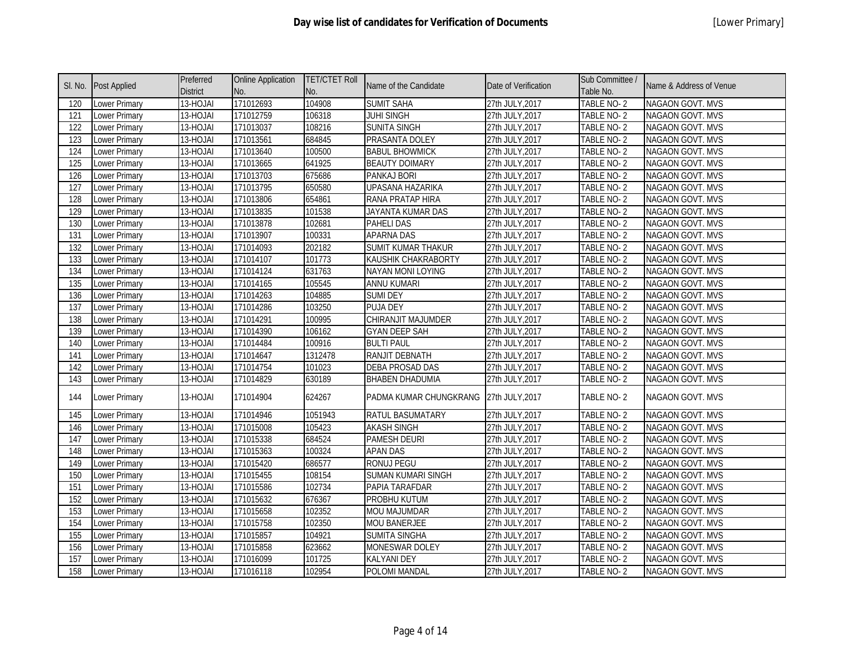| SI. No. | Post Applied         | Preferred<br><b>District</b> | <b>Online Application</b><br>No. | <b>TET/CTET Roll</b><br>No. | Name of the Candidate    | Date of Verification | Sub Committee /<br>Table No. | Name & Address of Venue |
|---------|----------------------|------------------------------|----------------------------------|-----------------------------|--------------------------|----------------------|------------------------------|-------------------------|
| 120     | Lower Primary        | 13-HOJAI                     | 171012693                        | 104908                      | <b>SUMIT SAHA</b>        | 27th JULY, 2017      | TABLE NO-2                   | <b>NAGAON GOVT. MVS</b> |
| 121     | Lower Primary        | 13-HOJAI                     | 171012759                        | 106318                      | <b>JUHI SINGH</b>        | 27th JULY, 2017      | TABLE NO-2                   | NAGAON GOVT. MVS        |
| 122     | Lower Primary        | 13-HOJAI                     | 171013037                        | 108216                      | <b>SUNITA SINGH</b>      | 27th JULY, 2017      | TABLE NO-2                   | NAGAON GOVT. MVS        |
| 123     | Lower Primary        | 13-HOJAI                     | 171013561                        | 684845                      | PRASANTA DOLEY           | 27th JULY, 2017      | TABLE NO-2                   | NAGAON GOVT. MVS        |
| 124     | Lower Primary        | 13-HOJAI                     | 171013640                        | 100500                      | <b>BABUL BHOWMICK</b>    | 27th JULY, 2017      | TABLE NO-2                   | NAGAON GOVT. MVS        |
| 125     | Lower Primary        | 13-HOJAI                     | 171013665                        | 641925                      | <b>BEAUTY DOIMARY</b>    | 27th JULY, 2017      | TABLE NO-2                   | NAGAON GOVT. MVS        |
| 126     | Lower Primary        | 13-HOJAI                     | 171013703                        | 675686                      | PANKAJ BORI              | 27th JULY, 2017      | TABLE NO-2                   | NAGAON GOVT. MVS        |
| 127     | Lower Primary        | 13-HOJAI                     | 171013795                        | 650580                      | UPASANA HAZARIKA         | 27th JULY, 2017      | TABLE NO-2                   | NAGAON GOVT. MVS        |
| 128     | Lower Primary        | 13-HOJAI                     | 171013806                        | 654861                      | RANA PRATAP HIRA         | 27th JULY, 2017      | TABLE NO-2                   | NAGAON GOVT. MVS        |
| 129     | Lower Primary        | 13-HOJAI                     | 171013835                        | 101538                      | JAYANTA KUMAR DAS        | 27th JULY, 2017      | TABLE NO-2                   | <b>NAGAON GOVT. MVS</b> |
| 130     | Lower Primary        | 13-HOJAI                     | 171013878                        | 102681                      | PAHELI DAS               | 27th JULY, 2017      | TABLE NO-2                   | NAGAON GOVT. MVS        |
| 131     | Lower Primary        | 13-HOJAI                     | 171013907                        | 100331                      | <b>APARNA DAS</b>        | 27th JULY, 2017      | TABLE NO-2                   | NAGAON GOVT. MVS        |
| 132     | Lower Primary        | 13-HOJAI                     | 171014093                        | 202182                      | SUMIT KUMAR THAKUR       | 27th JULY, 2017      | TABLE NO-2                   | NAGAON GOVT. MVS        |
| 133     | Lower Primary        | 13-HOJAI                     | 171014107                        | 101773                      | KAUSHIK CHAKRABORTY      | 27th JULY, 2017      | TABLE NO-2                   | NAGAON GOVT. MVS        |
| 134     | Lower Primary        | 13-HOJAI                     | 171014124                        | 631763                      | <b>NAYAN MONI LOYING</b> | 27th JULY, 2017      | TABLE NO-2                   | NAGAON GOVT. MVS        |
| 135     | <b>Lower Primary</b> | 13-HOJAI                     | 171014165                        | 105545                      | <b>ANNU KUMARI</b>       | 27th JULY, 2017      | TABLE NO-2                   | NAGAON GOVT. MVS        |
| 136     | Lower Primary        | 13-HOJAI                     | 171014263                        | 104885                      | <b>SUMI DEY</b>          | 27th JULY, 2017      | TABLE NO-2                   | NAGAON GOVT. MVS        |
| 137     | Lower Primary        | 13-HOJAI                     | 171014286                        | 103250                      | <b>PUJA DEY</b>          | 27th JULY, 2017      | TABLE NO-2                   | NAGAON GOVT. MVS        |
| 138     | Lower Primary        | 13-HOJAI                     | 171014291                        | 100995                      | CHIRANJIT MAJUMDER       | 27th JULY, 2017      | TABLE NO-2                   | NAGAON GOVT. MVS        |
| 139     | Lower Primary        | 13-HOJAI                     | 171014390                        | 106162                      | <b>GYAN DEEP SAH</b>     | 27th JULY, 2017      | TABLE NO-2                   | NAGAON GOVT. MVS        |
| 140     | Lower Primary        | $13 - HOJAI$                 | 171014484                        | 100916                      | <b>BULTI PAUL</b>        | 27th JULY, 2017      | TABLE NO-2                   | NAGAON GOVT. MVS        |
| 141     | Lower Primary        | 13-HOJAI                     | 171014647                        | 1312478                     | RANJIT DEBNATH           | 27th JULY, 2017      | TABLE NO-2                   | NAGAON GOVT. MVS        |
| 142     | Lower Primary        | 13-HOJAI                     | 171014754                        | 101023                      | <b>DEBA PROSAD DAS</b>   | 27th JULY, 2017      | TABLE NO-2                   | <b>NAGAON GOVT. MVS</b> |
| 143     | Lower Primary        | 13-HOJAI                     | 171014829                        | 630189                      | <b>BHABEN DHADUMIA</b>   | 27th JULY, 2017      | TABLE NO-2                   | NAGAON GOVT. MVS        |
| 144     | Lower Primary        | 13-HOJAI                     | 171014904                        | 624267                      | PADMA KUMAR CHUNGKRANG   | 27th JULY, 2017      | TABLE NO-2                   | NAGAON GOVT. MVS        |
| 145     | Lower Primary        | 13-HOJAI                     | 171014946                        | 1051943                     | RATUL BASUMATARY         | 27th JULY, 2017      | TABLE NO-2                   | NAGAON GOVT. MVS        |
| 146     | Lower Primary        | 13-HOJAI                     | 171015008                        | 105423                      | <b>AKASH SINGH</b>       | 27th JULY, 2017      | TABLE NO-2                   | NAGAON GOVT. MVS        |
| 147     | Lower Primary        | 13-HOJAI                     | 171015338                        | 684524                      | <b>PAMESH DEURI</b>      | 27th JULY, 2017      | TABLE NO-2                   | NAGAON GOVT. MVS        |
| 148     | Lower Primary        | 13-HOJAI                     | 171015363                        | 100324                      | <b>APAN DAS</b>          | 27th JULY, 2017      | TABLE NO-2                   | NAGAON GOVT. MVS        |
| 149     | Lower Primary        | 13-HOJAI                     | 171015420                        | 686577                      | <b>RONUJ PEGU</b>        | 27th JULY, 2017      | TABLE NO-2                   | NAGAON GOVT. MVS        |
| 150     | Lower Primary        | 13-HOJAI                     | 171015455                        | 108154                      | SUMAN KUMARI SINGH       | 27th JULY, 2017      | TABLE NO-2                   | NAGAON GOVT. MVS        |
| 151     | Lower Primary        | 13-HOJAI                     | 171015586                        | 102734                      | PAPIA TARAFDAR           | 27th JULY, 2017      | TABLE NO-2                   | NAGAON GOVT. MVS        |
| 152     | Lower Primary        | 13-HOJAI                     | 171015632                        | 676367                      | PROBHU KUTUM             | 27th JULY, 2017      | TABLE NO-2                   | NAGAON GOVT. MVS        |
| 153     | Lower Primary        | 13-HOJAI                     | 171015658                        | 102352                      | MOU MAJUMDAR             | 27th JULY, 2017      | TABLE NO-2                   | NAGAON GOVT. MVS        |
| 154     | Lower Primary        | 13-HOJAI                     | 171015758                        | 102350                      | <b>MOU BANERJEE</b>      | 27th JULY, 2017      | TABLE NO-2                   | NAGAON GOVT. MVS        |
| 155     | Lower Primary        | 13-HOJAI                     | 171015857                        | 104921                      | <b>SUMITA SINGHA</b>     | 27th JULY, 2017      | TABLE NO-2                   | NAGAON GOVT. MVS        |
| 156     | Lower Primary        | 13-HOJAI                     | 171015858                        | 623662                      | MONESWAR DOLEY           | 27th JULY, 2017      | TABLE NO-2                   | NAGAON GOVT. MVS        |
| 157     | Lower Primary        | 13-HOJAI                     | 171016099                        | 101725                      | <b>KALYANI DEY</b>       | 27th JULY, 2017      | TABLE NO-2                   | NAGAON GOVT. MVS        |
| 158     | Lower Primary        | 13-HOJAI                     | 171016118                        | 102954                      | POLOMI MANDAL            | 27th JULY, 2017      | TABLE NO-2                   | NAGAON GOVT. MVS        |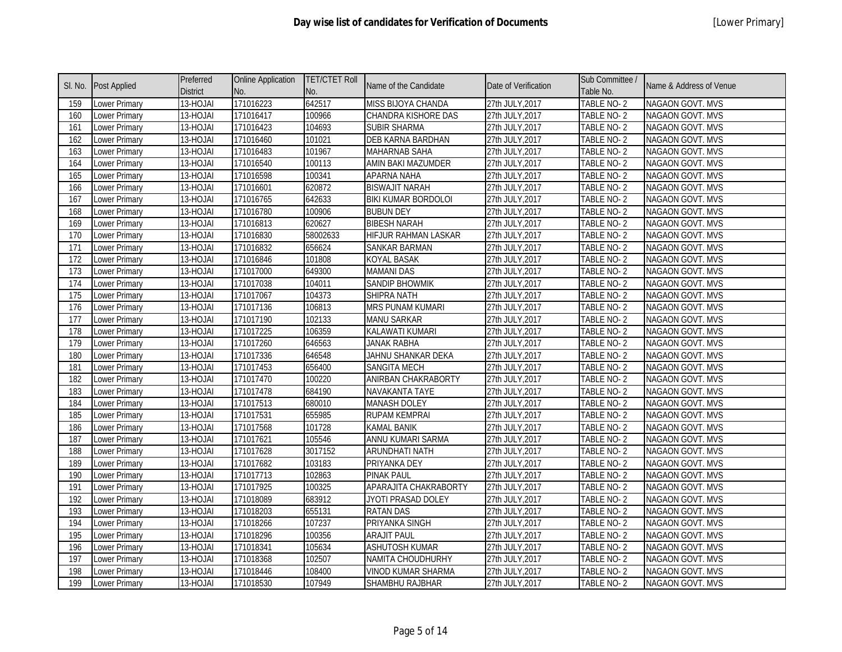| SI. No.          | <b>Post Applied</b> | Preferred<br><b>District</b> | <b>Online Application</b><br>No. | <b>TET/CTET Roll</b><br>No. | Name of the Candidate       | Date of Verification | Sub Committee /<br>Table No. | Name & Address of Venue |
|------------------|---------------------|------------------------------|----------------------------------|-----------------------------|-----------------------------|----------------------|------------------------------|-------------------------|
| 159              | Lower Primary       | 13-HOJAI                     | 171016223                        | 642517                      | MISS BIJOYA CHANDA          | 27th JULY, 2017      | TABLE NO-2                   | NAGAON GOVT. MVS        |
| 160              | Lower Primary       | 13-HOJAI                     | 171016417                        | 100966                      | CHANDRA KISHORE DAS         | 27th JULY, 2017      | TABLE NO-2                   | <b>NAGAON GOVT. MVS</b> |
| 161              | Lower Primary       | 13-HOJAI                     | 171016423                        | 104693                      | <b>SUBIR SHARMA</b>         | 27th JULY, 2017      | TABLE NO-2                   | NAGAON GOVT. MVS        |
| 162              | Lower Primary       | 13-HOJAI                     | 171016460                        | 101021                      | DEB KARNA BARDHAN           | 27th JULY, 2017      | TABLE NO-2                   | NAGAON GOVT. MVS        |
| 163              | Lower Primary       | 13-HOJAI                     | 171016483                        | 101967                      | MAHARNAB SAHA               | 27th JULY, 2017      | TABLE NO-2                   | NAGAON GOVT. MVS        |
| 164              | Lower Primary       | 13-HOJAI                     | 171016540                        | 100113                      | AMIN BAKI MAZUMDER          | 27th JULY, 2017      | TABLE NO-2                   | NAGAON GOVT. MVS        |
| 165              | Lower Primary       | 13-HOJAI                     | 171016598                        | 100341                      | APARNA NAHA                 | 27th JULY, 2017      | TABLE NO-2                   | NAGAON GOVT. MVS        |
| 166              | Lower Primary       | 13-HOJAI                     | 171016601                        | 620872                      | <b>BISWAJIT NARAH</b>       | 27th JULY, 2017      | TABLE NO-2                   | NAGAON GOVT. MVS        |
| 167              | Lower Primary       | 13-HOJAI                     | 171016765                        | 642633                      | BIKI KUMAR BORDOLOI         | 27th JULY, 2017      | TABLE NO-2                   | NAGAON GOVT. MVS        |
| 168              | Lower Primary       | 13-HOJAI                     | 171016780                        | 100906                      | <b>BUBUN DEY</b>            | 27th JULY, 2017      | TABLE NO-2                   | NAGAON GOVT. MVS        |
| 169              | Lower Primary       | 13-HOJAI                     | 171016813                        | 620627                      | <b>BIBESH NARAH</b>         | 27th JULY, 2017      | TABLE NO-2                   | NAGAON GOVT. MVS        |
| 170              | Lower Primary       | 13-HOJAI                     | 171016830                        | 58002633                    | <b>HIFJUR RAHMAN LASKAR</b> | 27th JULY, 2017      | TABLE NO-2                   | NAGAON GOVT. MVS        |
| 171              | Lower Primary       | 13-HOJAI                     | 171016832                        | 656624                      | SANKAR BARMAN               | 27th JULY, 2017      | TABLE NO-2                   | NAGAON GOVT. MVS        |
| 172              | Lower Primary       | 13-HOJAI                     | 171016846                        | 101808                      | <b>KOYAL BASAK</b>          | 27th JULY, 2017      | TABLE NO-2                   | NAGAON GOVT. MVS        |
| 173              | Lower Primary       | 13-HOJAI                     | 171017000                        | 649300                      | <b>MAMANI DAS</b>           | 27th JULY, 2017      | TABLE NO-2                   | NAGAON GOVT. MVS        |
| 174              | Lower Primary       | 13-HOJAI                     | 171017038                        | 104011                      | <b>SANDIP BHOWMIK</b>       | 27th JULY, 2017      | TABLE NO-2                   | NAGAON GOVT. MVS        |
| 175              | Lower Primary       | 13-HOJAI                     | 171017067                        | 104373                      | <b>SHIPRA NATH</b>          | 27th JULY, 2017      | TABLE NO-2                   | NAGAON GOVT. MVS        |
| 176              | Lower Primary       | 13-HOJAI                     | 171017136                        | 106813                      | <b>MRS PUNAM KUMARI</b>     | 27th JULY, 2017      | TABLE NO-2                   | NAGAON GOVT. MVS        |
| 177              | Lower Primary       | 13-HOJAI                     | 171017190                        | 102133                      | <b>MANU SARKAR</b>          | 27th JULY, 2017      | TABLE NO-2                   | NAGAON GOVT. MVS        |
| $\overline{178}$ | Lower Primary       | 13-HOJAI                     | 171017225                        | 106359                      | KALAWATI KUMARI             | 27th JULY, 2017      | TABLE NO-2                   | NAGAON GOVT. MVS        |
| 179              | Lower Primary       | 13-HOJAI                     | 171017260                        | 646563                      | <b>JANAK RABHA</b>          | 27th JULY, 2017      | TABLE NO-2                   | NAGAON GOVT. MVS        |
| 180              | Lower Primary       | 13-HOJAI                     | 171017336                        | 646548                      | JAHNU SHANKAR DEKA          | 27th JULY, 2017      | TABLE NO-2                   | NAGAON GOVT. MVS        |
| 181              | Lower Primary       | 13-HOJAI                     | 171017453                        | 656400                      | <b>SANGITA MECH</b>         | 27th JULY, 2017      | TABLE NO-2                   | NAGAON GOVT. MVS        |
| 182              | Lower Primary       | 13-HOJAI                     | 171017470                        | 100220                      | ANIRBAN CHAKRABORTY         | 27th JULY, 2017      | TABLE NO-2                   | NAGAON GOVT. MVS        |
| 183              | Lower Primary       | 13-HOJAI                     | 171017478                        | 684190                      | NAVAKANTA TAYE              | 27th JULY, 2017      | TABLE NO-2                   | NAGAON GOVT. MVS        |
| 184              | Lower Primary       | 13-HOJAI                     | 171017513                        | 680010                      | <b>MANASH DOLEY</b>         | 27th JULY, 2017      | TABLE NO-2                   | NAGAON GOVT. MVS        |
| 185              | Lower Primary       | 13-HOJAI                     | 171017531                        | 655985                      | <b>RUPAM KEMPRAI</b>        | 27th JULY, 2017      | TABLE NO-2                   | NAGAON GOVT. MVS        |
| 186              | Lower Primary       | 13-HOJAI                     | 171017568                        | 101728                      | <b>KAMAL BANIK</b>          | 27th JULY, 2017      | TABLE NO-2                   | NAGAON GOVT. MVS        |
| 187              | Lower Primary       | 13-HOJAI                     | 171017621                        | 105546                      | ANNU KUMARI SARMA           | 27th JULY, 2017      | TABLE NO-2                   | NAGAON GOVT. MVS        |
| 188              | Lower Primary       | 13-HOJAI                     | 171017628                        | 3017152                     | <b>ARUNDHATI NATH</b>       | 27th JULY, 2017      | TABLE NO-2                   | NAGAON GOVT. MVS        |
| 189              | Lower Primary       | 13-HOJAI                     | 171017682                        | 103183                      | PRIYANKA DEY                | 27th JULY, 2017      | TABLE NO-2                   | NAGAON GOVT. MVS        |
| 190              | Lower Primary       | 13-HOJAI                     | 171017713                        | 102863                      | <b>PINAK PAUL</b>           | 27th JULY, 2017      | TABLE NO-2                   | NAGAON GOVT. MVS        |
| 191              | Lower Primary       | 13-HOJAI                     | 171017925                        | 100325                      | APARAJITA CHAKRABORTY       | 27th JULY, 2017      | TABLE NO-2                   | NAGAON GOVT. MVS        |
| 192              | Lower Primary       | 13-HOJAI                     | 171018089                        | 683912                      | JYOTI PRASAD DOLEY          | 27th JULY, 2017      | TABLE NO-2                   | NAGAON GOVT. MVS        |
| 193              | Lower Primary       | 13-HOJAI                     | 171018203                        | 655131                      | <b>RATAN DAS</b>            | 27th JULY, 2017      | TABLE NO-2                   | NAGAON GOVT. MVS        |
| 194              | Lower Primary       | 13-HOJAI                     | 171018266                        | 107237                      | PRIYANKA SINGH              | 27th JULY, 2017      | TABLE NO-2                   | NAGAON GOVT. MVS        |
| 195              | Lower Primary       | 13-HOJAI                     | 171018296                        | 100356                      | <b>ARAJIT PAUL</b>          | 27th JULY, 2017      | TABLE NO-2                   | NAGAON GOVT. MVS        |
| 196              | Lower Primary       | 13-HOJAI                     | 171018341                        | 105634                      | <b>ASHUTOSH KUMAR</b>       | 27th JULY, 2017      | TABLE NO-2                   | NAGAON GOVT. MVS        |
| 197              | Lower Primary       | 13-HOJAI                     | 171018368                        | 102507                      | NAMITA CHOUDHURHY           | 27th JULY, 2017      | TABLE NO-2                   | NAGAON GOVT. MVS        |
| 198              | Lower Primary       | 13-HOJAI                     | 171018446                        | 108400                      | <b>VINOD KUMAR SHARMA</b>   | 27th JULY, 2017      | TABLE NO-2                   | NAGAON GOVT. MVS        |
| 199              | Lower Primary       | 13-HOJAI                     | 171018530                        | 107949                      | SHAMBHU RAJBHAR             | 27th JULY, 2017      | TABLE NO-2                   | NAGAON GOVT. MVS        |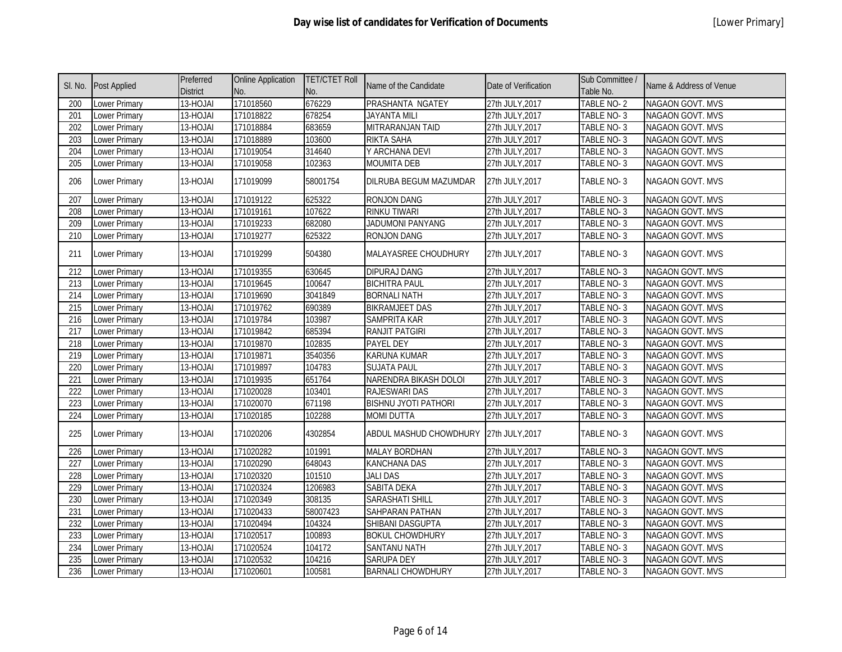| SI. No. | <b>Post Applied</b>  | Preferred<br><b>District</b> | <b>Online Application</b><br>No. | <b>TET/CTET Roll</b><br>No. | Name of the Candidate       | Date of Verification | Sub Committee /<br>Table No. | Name & Address of Venue |
|---------|----------------------|------------------------------|----------------------------------|-----------------------------|-----------------------------|----------------------|------------------------------|-------------------------|
| 200     | Lower Primary        | 13-HOJAI                     | 171018560                        | 676229                      | PRASHANTA NGATEY            | 27th JULY, 2017      | TABLE NO-2                   | NAGAON GOVT. MVS        |
| 201     | Lower Primary        | 13-HOJAI                     | 171018822                        | 678254                      | <b>JAYANTA MILI</b>         | 27th JULY, 2017      | TABLE NO-3                   | <b>NAGAON GOVT. MVS</b> |
| 202     | Lower Primary        | 13-HOJAI                     | 171018884                        | 683659                      | MITRARANJAN TAID            | 27th JULY, 2017      | TABLE NO-3                   | NAGAON GOVT. MVS        |
| 203     | Lower Primary        | 13-HOJAI                     | 171018889                        | 103600                      | RIKTA SAHA                  | 27th JULY, 2017      | TABLE NO-3                   | NAGAON GOVT. MVS        |
| 204     | Lower Primary        | 13-HOJAI                     | 171019054                        | 314640                      | Y ARCHANA DEVI              | 27th JULY, 2017      | TABLE NO-3                   | NAGAON GOVT. MVS        |
| 205     | Lower Primary        | 13-HOJAI                     | 171019058                        | 102363                      | <b>MOUMITA DEB</b>          | 27th JULY, 2017      | TABLE NO-3                   | NAGAON GOVT. MVS        |
| 206     | Lower Primary        | 13-HOJAI                     | 171019099                        | 58001754                    | DILRUBA BEGUM MAZUMDAR      | 27th JULY, 2017      | TABLE NO-3                   | NAGAON GOVT. MVS        |
| 207     | Lower Primary        | 13-HOJAI                     | 171019122                        | 625322                      | <b>RONJON DANG</b>          | 27th JULY, 2017      | TABLE NO-3                   | <b>NAGAON GOVT. MVS</b> |
| 208     | Lower Primary        | 13-HOJAI                     | 171019161                        | 107622                      | <b>RINKU TIWARI</b>         | 27th JULY, 2017      | TABLE NO-3                   | NAGAON GOVT. MVS        |
| 209     | <b>Lower Primary</b> | 13-HOJAI                     | 171019233                        | 682080                      | <b>JADUMONI PANYANG</b>     | 27th JULY, 2017      | TABLE NO-3                   | NAGAON GOVT. MVS        |
| 210     | Lower Primary        | 13-HOJAI                     | 171019277                        | 625322                      | RONJON DANG                 | 27th JULY, 2017      | TABLE NO-3                   | NAGAON GOVT. MVS        |
| 211     | Lower Primary        | 13-HOJAI                     | 171019299                        | 504380                      | MALAYASREE CHOUDHURY        | 27th JULY, 2017      | TABLE NO-3                   | <b>NAGAON GOVT. MVS</b> |
| 212     | Lower Primary        | 13-HOJAI                     | 171019355                        | 630645                      | <b>DIPURAJ DANG</b>         | 27th JULY, 2017      | TABLE NO-3                   | NAGAON GOVT. MVS        |
| 213     | Lower Primary        | 13-HOJAI                     | 171019645                        | 100647                      | <b>BICHITRA PAUL</b>        | 27th JULY, 2017      | TABLE NO-3                   | NAGAON GOVT. MVS        |
| 214     | Lower Primary        | 13-HOJAI                     | 171019690                        | 3041849                     | <b>BORNALI NATH</b>         | 27th JULY, 2017      | TABLE NO-3                   | NAGAON GOVT. MVS        |
| 215     | Lower Primary        | 13-HOJAI                     | 171019762                        | 690389                      | <b>BIKRAMJEET DAS</b>       | 27th JULY, 2017      | TABLE NO-3                   | NAGAON GOVT. MVS        |
| 216     | Lower Primary        | 13-HOJAI                     | 171019784                        | 103987                      | SAMPRITA KAR                | 27th JULY, 2017      | TABLE NO-3                   | NAGAON GOVT. MVS        |
| 217     | Lower Primary        | 13-HOJAI                     | 171019842                        | 685394                      | RANJIT PATGIRI              | 27th JULY, 2017      | TABLE NO-3                   | NAGAON GOVT. MVS        |
| 218     | Lower Primary        | 13-HOJAI                     | 171019870                        | 102835                      | PAYEL DEY                   | 27th JULY, 2017      | TABLE NO-3                   | NAGAON GOVT. MVS        |
| 219     | Lower Primary        | 13-HOJAI                     | 171019871                        | 3540356                     | <b>KARUNA KUMAR</b>         | 27th JULY, 2017      | TABLE NO-3                   | NAGAON GOVT. MVS        |
| 220     | Lower Primary        | 13-HOJAI                     | 171019897                        | 104783                      | <b>SUJATA PAUL</b>          | 27th JULY, 2017      | TABLE NO-3                   | NAGAON GOVT. MVS        |
| 221     | Lower Primary        | 13-HOJAI                     | 171019935                        | 651764                      | NARENDRA BIKASH DOLOI       | 27th JULY, 2017      | TABLE NO-3                   | NAGAON GOVT. MVS        |
| 222     | Lower Primary        | 13-HOJAI                     | 171020028                        | 103401                      | RAJESWARI DAS               | 27th JULY, 2017      | TABLE NO-3                   | NAGAON GOVT. MVS        |
| 223     | Lower Primary        | 13-HOJAI                     | 171020070                        | 671198                      | <b>BISHNU JYOTI PATHORI</b> | 27th JULY, 2017      | TABLE NO-3                   | NAGAON GOVT. MVS        |
| 224     | Lower Primary        | 13-HOJAI                     | 171020185                        | 102288                      | <b>MOMI DUTTA</b>           | 27th JULY, 2017      | TABLE NO-3                   | NAGAON GOVT. MVS        |
| 225     | Lower Primary        | 13-HOJAI                     | 171020206                        | 4302854                     | ABDUL MASHUD CHOWDHURY      | 27th JULY, 2017      | TABLE NO-3                   | NAGAON GOVT. MVS        |
| 226     | Lower Primary        | 13-HOJAI                     | 171020282                        | 101991                      | <b>MALAY BORDHAN</b>        | 27th JULY, 2017      | TABLE NO-3                   | <b>NAGAON GOVT. MVS</b> |
| 227     | Lower Primary        | 13-HOJAI                     | 171020290                        | 648043                      | <b>KANCHANA DAS</b>         | 27th JULY, 2017      | TABLE NO-3                   | NAGAON GOVT. MVS        |
| 228     | Lower Primary        | 13-HOJAI                     | 171020320                        | 101510                      | <b>JALI DAS</b>             | 27th JULY, 2017      | TABLE NO-3                   | <b>NAGAON GOVT. MVS</b> |
| 229     | Lower Primary        | 13-HOJAI                     | 171020324                        | 1206983                     | SABITA DEKA                 | 27th JULY, 2017      | TABLE NO-3                   | NAGAON GOVT. MVS        |
| 230     | Lower Primary        | 13-HOJAI                     | 171020349                        | 308135                      | SARASHATI SHILL             | 27th JULY, 2017      | TABLE NO-3                   | NAGAON GOVT. MVS        |
| 231     | Lower Primary        | 13-HOJAI                     | 171020433                        | 58007423                    | SAHPARAN PATHAN             | 27th JULY, 2017      | TABLE NO-3                   | NAGAON GOVT. MVS        |
| 232     | Lower Primary        | 13-HOJAI                     | 171020494                        | 104324                      | SHIBANI DASGUPTA            | 27th JULY, 2017      | TABLE NO-3                   | NAGAON GOVT. MVS        |
| 233     | Lower Primary        | 13-HOJAI                     | 171020517                        | 100893                      | <b>BOKUL CHOWDHURY</b>      | 27th JULY, 2017      | TABLE NO-3                   | NAGAON GOVT. MVS        |
| 234     | Lower Primary        | 13-HOJAI                     | 171020524                        | 104172                      | SANTANU NATH                | 27th JULY, 2017      | TABLE NO-3                   | NAGAON GOVT. MVS        |
| 235     | Lower Primary        | 13-HOJAI                     | 171020532                        | 104216                      | SARUPA DEY                  | 27th JULY, 2017      | TABLE NO-3                   | NAGAON GOVT. MVS        |
| 236     | Lower Primary        | 13-HOJAI                     | 171020601                        | 100581                      | <b>BARNALI CHOWDHURY</b>    | 27th JULY, 2017      | TABLE NO-3                   | NAGAON GOVT. MVS        |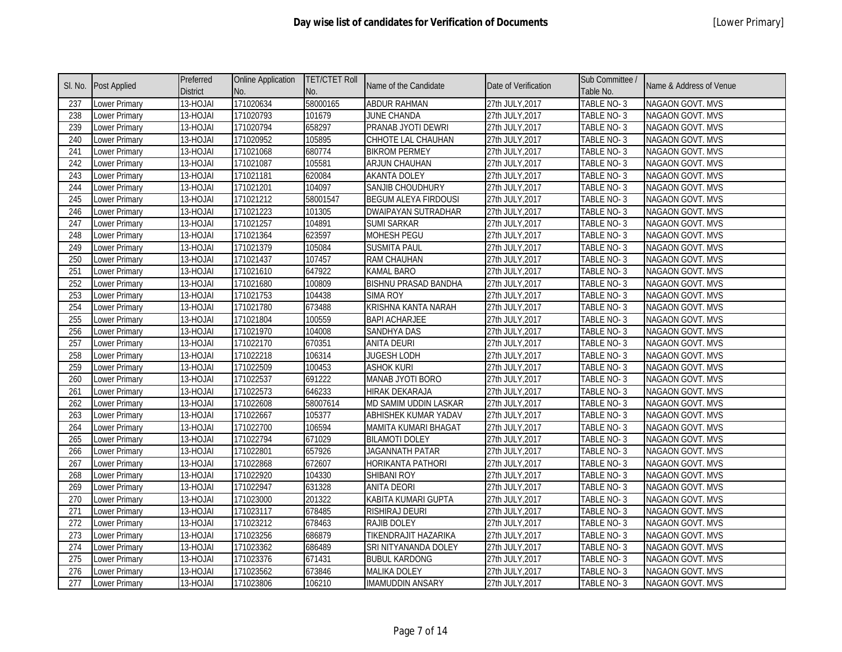| SI. No. | <b>Post Applied</b>  | Preferred<br><b>District</b> | <b>Online Application</b><br>No. | <b>TET/CTET Roll</b><br>No. | Name of the Candidate       | Date of Verification | Sub Committee<br>Table No. | Name & Address of Venue |
|---------|----------------------|------------------------------|----------------------------------|-----------------------------|-----------------------------|----------------------|----------------------------|-------------------------|
| 237     | <b>Lower Primary</b> | 13-HOJAI                     | 171020634                        | 58000165                    | <b>ABDUR RAHMAN</b>         | 27th JULY, 2017      | TABLE NO-3                 | NAGAON GOVT. MVS        |
| 238     | Lower Primary        | 13-HOJAI                     | 171020793                        | 101679                      | <b>JUNE CHANDA</b>          | 27th JULY, 2017      | TABLE NO-3                 | NAGAON GOVT. MVS        |
| 239     | <b>Lower Primary</b> | 13-HOJAI                     | 171020794                        | 658297                      | PRANAB JYOTI DEWRI          | 27th JULY, 2017      | TABLE NO-3                 | NAGAON GOVT. MVS        |
| 240     | Lower Primary        | 13-HOJAI                     | 171020952                        | 105895                      | CHHOTE LAL CHAUHAN          | 27th JULY, 2017      | TABLE NO-3                 | NAGAON GOVT. MVS        |
| 241     | Lower Primary        | 13-HOJAI                     | 171021068                        | 680774                      | <b>BIKROM PERMEY</b>        | 27th JULY, 2017      | TABLE NO-3                 | NAGAON GOVT. MVS        |
| 242     | Lower Primary        | 13-HOJAI                     | 171021087                        | 105581                      | <b>ARJUN CHAUHAN</b>        | 27th JULY, 2017      | TABLE NO-3                 | NAGAON GOVT. MVS        |
| 243     | Lower Primary        | 13-HOJAI                     | 171021181                        | 620084                      | <b>AKANTA DOLEY</b>         | 27th JULY, 2017      | TABLE NO-3                 | NAGAON GOVT. MVS        |
| 244     | <b>Lower Primary</b> | 13-HOJAI                     | 171021201                        | 104097                      | <b>SANJIB CHOUDHURY</b>     | 27th JULY, 2017      | TABLE NO-3                 | NAGAON GOVT. MVS        |
| 245     | Lower Primary        | 13-HOJAI                     | 171021212                        | 58001547                    | <b>BEGUM ALEYA FIRDOUSI</b> | 27th JULY, 2017      | TABLE NO-3                 | NAGAON GOVT. MVS        |
| 246     | <b>Lower Primary</b> | 13-HOJAI                     | 171021223                        | 101305                      | DWAIPAYAN SUTRADHAR         | 27th JULY, 2017      | TABLE NO-3                 | NAGAON GOVT. MVS        |
| 247     | Lower Primary        | 13-HOJAI                     | 171021257                        | 104891                      | <b>SUMI SARKAR</b>          | 27th JULY, 2017      | TABLE NO-3                 | NAGAON GOVT. MVS        |
| 248     | Lower Primary        | 13-HOJAI                     | 171021364                        | 623597                      | MOHESH PEGU                 | 27th JULY, 2017      | TABLE NO-3                 | NAGAON GOVT. MVS        |
| 249     | Lower Primary        | 13-HOJAI                     | 171021379                        | 105084                      | <b>SUSMITA PAUL</b>         | 27th JULY, 2017      | TABLE NO-3                 | NAGAON GOVT. MVS        |
| 250     | <b>Lower Primary</b> | 13-HOJAI                     | 171021437                        | 107457                      | <b>RAM CHAUHAN</b>          | 27th JULY, 2017      | TABLE NO-3                 | NAGAON GOVT. MVS        |
| 251     | Lower Primary        | 13-HOJAI                     | 171021610                        | 647922                      | <b>KAMAL BARO</b>           | 27th JULY, 2017      | TABLE NO-3                 | NAGAON GOVT. MVS        |
| 252     | <b>Lower Primary</b> | 13-HOJAI                     | 171021680                        | 100809                      | <b>BISHNU PRASAD BANDHA</b> | 27th JULY, 2017      | TABLE NO-3                 | <b>NAGAON GOVT. MVS</b> |
| 253     | <b>Lower Primary</b> | 13-HOJAI                     | 171021753                        | 104438                      | SIMA ROY                    | 27th JULY, 2017      | TABLE NO-3                 | <b>NAGAON GOVT. MVS</b> |
| 254     | Lower Primary        | 13-HOJAI                     | 171021780                        | 673488                      | KRISHNA KANTA NARAH         | 27th JULY, 2017      | TABLE NO-3                 | NAGAON GOVT. MVS        |
| 255     | <b>Lower Primary</b> | 13-HOJAI                     | 171021804                        | 100559                      | <b>BAPI ACHARJEE</b>        | 27th JULY, 2017      | TABLE NO-3                 | NAGAON GOVT. MVS        |
| 256     | Lower Primary        | 13-HOJAI                     | 171021970                        | 104008                      | <b>SANDHYA DAS</b>          | 27th JULY, 2017      | TABLE NO-3                 | NAGAON GOVT. MVS        |
| 257     | <b>Lower Primary</b> | 13-HOJAI                     | 171022170                        | 670351                      | <b>ANITA DEURI</b>          | 27th JULY, 2017      | TABLE NO-3                 | NAGAON GOVT. MVS        |
| 258     | <b>Lower Primary</b> | 13-HOJAI                     | 171022218                        | 106314                      | <b>JUGESH LODH</b>          | 27th JULY, 2017      | TABLE NO-3                 | NAGAON GOVT. MVS        |
| 259     | <b>Lower Primary</b> | 13-HOJAI                     | 171022509                        | 100453                      | <b>ASHOK KURI</b>           | 27th JULY, 2017      | TABLE NO-3                 | NAGAON GOVT. MVS        |
| 260     | <b>Lower Primary</b> | 13-HOJAI                     | 171022537                        | 691222                      | MANAB JYOTI BORO            | 27th JULY, 2017      | TABLE NO-3                 | NAGAON GOVT. MVS        |
| 261     | <b>Lower Primary</b> | $\overline{13}$ -HOJAI       | 171022573                        | 646233                      | HIRAK DEKARAJA              | 27th JULY, 2017      | TABLE NO-3                 | NAGAON GOVT. MVS        |
| 262     | <b>Lower Primary</b> | 13-HOJAI                     | 171022608                        | 58007614                    | MD SAMIM UDDIN LASKAR       | 27th JULY, 2017      | TABLE NO-3                 | <b>NAGAON GOVT. MVS</b> |
| 263     | Lower Primary        | 13-HOJAI                     | 171022667                        | 105377                      | ABHISHEK KUMAR YADAV        | 27th JULY, 2017      | TABLE NO-3                 | NAGAON GOVT. MVS        |
| 264     | Lower Primary        | 13-HOJAI                     | 171022700                        | 106594                      | MAMITA KUMARI BHAGAT        | 27th JULY, 2017      | TABLE NO-3                 | NAGAON GOVT. MVS        |
| 265     | Lower Primary        | 13-HOJAI                     | 171022794                        | 671029                      | <b>BILAMOTI DOLEY</b>       | 27th JULY, 2017      | TABLE NO-3                 | NAGAON GOVT. MVS        |
| 266     | <b>Lower Primary</b> | 13-HOJAI                     | 171022801                        | 657926                      | <b>JAGANNATH PATAR</b>      | 27th JULY, 2017      | TABLE NO-3                 | NAGAON GOVT. MVS        |
| 267     | <b>Lower Primary</b> | 13-HOJAI                     | 171022868                        | 672607                      | HORIKANTA PATHORI           | 27th JULY, 2017      | TABLE NO-3                 | NAGAON GOVT. MVS        |
| 268     | <b>Lower Primary</b> | 13-HOJAI                     | 171022920                        | 104330                      | SHIBANI ROY                 | 27th JULY, 2017      | TABLE NO-3                 | NAGAON GOVT. MVS        |
| 269     | <b>Lower Primary</b> | 13-HOJAI                     | 171022947                        | 631328                      | <b>ANITA DEORI</b>          | 27th JULY, 2017      | TABLE NO-3                 | <b>NAGAON GOVT. MVS</b> |
| 270     | Lower Primary        | 13-HOJAI                     | 171023000                        | 201322                      | KABITA KUMARI GUPTA         | 27th JULY, 2017      | TABLE NO-3                 | NAGAON GOVT. MVS        |
| 271     | Lower Primary        | 13-HOJAI                     | 171023117                        | 678485                      | RISHIRAJ DEURI              | 27th JULY, 2017      | TABLE NO-3                 | NAGAON GOVT. MVS        |
| 272     | Lower Primary        | 13-HOJAI                     | 171023212                        | 678463                      | <b>RAJIB DOLEY</b>          | 27th JULY, 2017      | TABLE NO-3                 | NAGAON GOVT. MVS        |
| 273     | <b>Lower Primary</b> | 13-HOJAI                     | 171023256                        | 686879                      | TIKENDRAJIT HAZARIKA        | 27th JULY, 2017      | TABLE NO-3                 | NAGAON GOVT. MVS        |
| 274     | <b>Lower Primary</b> | 13-HOJAI                     | 171023362                        | 686489                      | SRI NITYANANDA DOLEY        | 27th JULY, 2017      | TABLE NO-3                 | NAGAON GOVT. MVS        |
| 275     | <b>Lower Primary</b> | 13-HOJAI                     | 171023376                        | 671431                      | <b>BUBUL KARDONG</b>        | 27th JULY, 2017      | TABLE NO-3                 | NAGAON GOVT. MVS        |
| 276     | <b>Lower Primary</b> | 13-HOJAI                     | 171023562                        | 673846                      | <b>MALIKA DOLEY</b>         | 27th JULY, 2017      | TABLE NO-3                 | <b>NAGAON GOVT. MVS</b> |
| 277     | <b>Lower Primary</b> | 13-HOJAI                     | 171023806                        | 106210                      | <b>IMAMUDDIN ANSARY</b>     | 27th JULY, 2017      | TABLE NO-3                 | NAGAON GOVT. MVS        |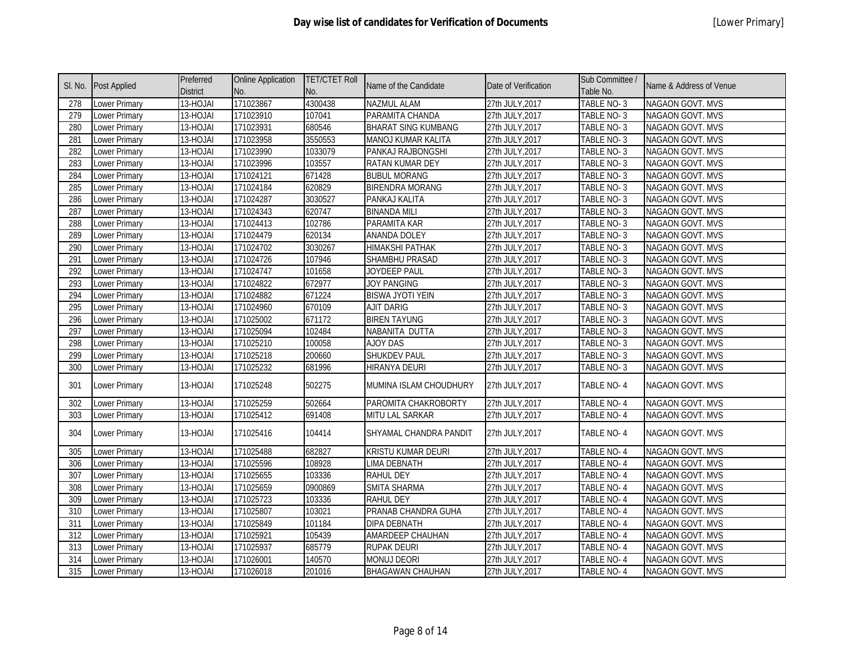|                  | SI. No. Post Applied | Preferred<br><b>District</b> | <b>Online Application</b><br>No. | <b>TET/CTET Roll</b><br>No. | Name of the Candidate      | Date of Verification | Sub Committee /<br>Table No. | Name & Address of Venue |
|------------------|----------------------|------------------------------|----------------------------------|-----------------------------|----------------------------|----------------------|------------------------------|-------------------------|
| 278              | Lower Primary        | 13-HOJAI                     | 171023867                        | 4300438                     | NAZMUL ALAM                | 27th JULY, 2017      | TABLE NO-3                   | NAGAON GOVT. MVS        |
| 279              | Lower Primary        | 13-HOJAI                     | 171023910                        | 107041                      | PARAMITA CHANDA            | 27th JULY, 2017      | TABLE NO-3                   | <b>NAGAON GOVT. MVS</b> |
| 280              | Lower Primary        | 13-HOJAI                     | 171023931                        | 680546                      | <b>BHARAT SING KUMBANG</b> | 27th JULY, 2017      | TABLE NO-3                   | NAGAON GOVT. MVS        |
| 281              | Lower Primary        | 13-HOJAI                     | 171023958                        | 3550553                     | MANOJ KUMAR KALITA         | 27th JULY, 2017      | TABLE NO-3                   | <b>NAGAON GOVT. MVS</b> |
| 282              | Lower Primary        | 13-HOJAI                     | 171023990                        | 1033079                     | PANKAJ RAJBONGSHI          | 27th JULY, 2017      | TABLE NO-3                   | <b>NAGAON GOVT. MVS</b> |
| 283              | Lower Primary        | 13-HOJAI                     | 171023996                        | 103557                      | RATAN KUMAR DEY            | 27th JULY, 2017      | TABLE NO-3                   | NAGAON GOVT. MVS        |
| 284              | Lower Primary        | 13-HOJAI                     | 171024121                        | 671428                      | <b>BUBUL MORANG</b>        | 27th JULY, 2017      | TABLE NO-3                   | NAGAON GOVT. MVS        |
| 285              | Lower Primary        | 13-HOJAI                     | 171024184                        | 620829                      | <b>BIRENDRA MORANG</b>     | 27th JULY, 2017      | TABLE NO-3                   | NAGAON GOVT. MVS        |
| 286              | Lower Primary        | 13-HOJAI                     | 171024287                        | 3030527                     | PANKAJ KALITA              | 27th JULY, 2017      | TABLE NO-3                   | NAGAON GOVT. MVS        |
| 287              | Lower Primary        | 13-HOJAI                     | 171024343                        | 620747                      | <b>BINANDA MILI</b>        | 27th JULY, 2017      | TABLE NO-3                   | NAGAON GOVT. MVS        |
| 288              | Lower Primary        | 13-HOJAI                     | 171024413                        | 102786                      | PARAMITA KAR               | 27th JULY, 2017      | TABLE NO-3                   | NAGAON GOVT. MVS        |
| 289              | Lower Primary        | 13-HOJAI                     | 171024479                        | 620134                      | ANANDA DOLEY               | 27th JULY, 2017      | TABLE NO-3                   | NAGAON GOVT. MVS        |
| 290              | Lower Primary        | 13-HOJAI                     | 171024702                        | 3030267                     | <b>HIMAKSHI PATHAK</b>     | 27th JULY, 2017      | TABLE NO-3                   | NAGAON GOVT. MVS        |
| $\overline{291}$ | <b>Lower Primary</b> | 13-HOJAI                     | 171024726                        | 107946                      | <b>SHAMBHU PRASAD</b>      | 27th JULY, 2017      | TABLE NO-3                   | NAGAON GOVT. MVS        |
| $\overline{292}$ | <b>Lower Primary</b> | 13-HOJAI                     | 171024747                        | 101658                      | <b>JOYDEEP PAUL</b>        | 27th JULY, 2017      | TABLE NO-3                   | NAGAON GOVT. MVS        |
| 293              | Lower Primary        | 13-HOJAI                     | 171024822                        | 672977                      | <b>JOY PANGING</b>         | 27th JULY, 2017      | TABLE NO-3                   | NAGAON GOVT. MVS        |
| 294              | Lower Primary        | 13-HOJAI                     | 171024882                        | 671224                      | <b>BISWA JYOTI YEIN</b>    | 27th JULY, 2017      | TABLE NO-3                   | NAGAON GOVT. MVS        |
| 295              | Lower Primary        | 13-HOJAI                     | 171024960                        | 670109                      | <b>AJIT DARIG</b>          | 27th JULY, 2017      | TABLE NO-3                   | NAGAON GOVT. MVS        |
| 296              | Lower Primary        | 13-HOJAI                     | 171025002                        | 671172                      | <b>BIREN TAYUNG</b>        | 27th JULY, 2017      | TABLE NO-3                   | NAGAON GOVT. MVS        |
| $\overline{297}$ | Lower Primary        | 13-HOJAI                     | 171025094                        | 102484                      | NABANITA DUTTA             | 27th JULY, 2017      | TABLE NO-3                   | NAGAON GOVT. MVS        |
| 298              | Lower Primary        | 13-HOJAI                     | 171025210                        | 100058                      | <b>AJOY DAS</b>            | 27th JULY, 2017      | TABLE NO-3                   | NAGAON GOVT. MVS        |
| 299              | Lower Primary        | 13-HOJAI                     | 171025218                        | 200660                      | <b>SHUKDEV PAUL</b>        | 27th JULY, 2017      | TABLE NO-3                   | NAGAON GOVT. MVS        |
| 300              | <b>Lower Primary</b> | 13-HOJAI                     | 171025232                        | 681996                      | HIRANYA DEURI              | 27th JULY, 2017      | TABLE NO-3                   | NAGAON GOVT. MVS        |
| 301              | Lower Primary        | 13-HOJAI                     | 171025248                        | 502275                      | MUMINA ISLAM CHOUDHURY     | 27th JULY, 2017      | TABLE NO-4                   | NAGAON GOVT. MVS        |
| 302              | Lower Primary        | 13-HOJAI                     | 171025259                        | 502664                      | PAROMITA CHAKROBORTY       | 27th JULY, 2017      | TABLE NO-4                   | <b>NAGAON GOVT. MVS</b> |
| 303              | <b>Lower Primary</b> | 13-HOJAI                     | 171025412                        | 691408                      | MITU LAL SARKAR            | 27th JULY, 2017      | TABLE NO-4                   | NAGAON GOVT. MVS        |
| 304              | Lower Primary        | 13-HOJAI                     | 171025416                        | 104414                      | SHYAMAL CHANDRA PANDIT     | 27th JULY, 2017      | TABLE NO-4                   | NAGAON GOVT. MVS        |
| 305              | Lower Primary        | 13-HOJAI                     | 171025488                        | 682827                      | KRISTU KUMAR DEURI         | 27th JULY, 2017      | <b>TABLE NO-4</b>            | NAGAON GOVT. MVS        |
| 306              | Lower Primary        | 13-HOJAI                     | 171025596                        | 108928                      | <b>LIMA DEBNATH</b>        | 27th JULY, 2017      | TABLE NO-4                   | <b>NAGAON GOVT. MVS</b> |
| 307              | Lower Primary        | 13-HOJAI                     | 171025655                        | 103336                      | <b>RAHUL DEY</b>           | 27th JULY, 2017      | <b>TABLE NO-4</b>            | <b>NAGAON GOVT. MVS</b> |
| 308              | Lower Primary        | 13-HOJAI                     | 171025659                        | 0900869                     | SMITA SHARMA               | 27th JULY, 2017      | TABLE NO-4                   | NAGAON GOVT. MVS        |
| 309              | Lower Primary        | 13-HOJAI                     | 171025723                        | 103336                      | <b>RAHUL DEY</b>           | 27th JULY, 2017      | <b>TABLE NO-4</b>            | NAGAON GOVT. MVS        |
| $\overline{310}$ | Lower Primary        | 13-HOJAI                     | 171025807                        | 103021                      | PRANAB CHANDRA GUHA        | 27th JULY, 2017      | <b>TABLE NO-4</b>            | NAGAON GOVT. MVS        |
| 311              | Lower Primary        | 13-HOJAI                     | 171025849                        | 101184                      | DIPA DEBNATH               | 27th JULY, 2017      | TABLE NO-4                   | NAGAON GOVT. MVS        |
| 312              | <b>Lower Primary</b> | 13-HOJAI                     | 171025921                        | 105439                      | AMARDEEP CHAUHAN           | 27th JULY, 2017      | TABLE NO-4                   | NAGAON GOVT. MVS        |
| 313              | Lower Primary        | 13-HOJAI                     | 171025937                        | 685779                      | RUPAK DEURI                | 27th JULY, 2017      | TABLE NO-4                   | NAGAON GOVT. MVS        |
| 314              | Lower Primary        | 13-HOJAI                     | 171026001                        | 140570                      | <b>MONUJ DEORI</b>         | 27th JULY, 2017      | <b>TABLE NO-4</b>            | NAGAON GOVT. MVS        |
| 315              | <b>Lower Primary</b> | 13-HOJAI                     | 171026018                        | 201016                      | <b>BHAGAWAN CHAUHAN</b>    | 27th JULY, 2017      | TABLE NO-4                   | NAGAON GOVT. MVS        |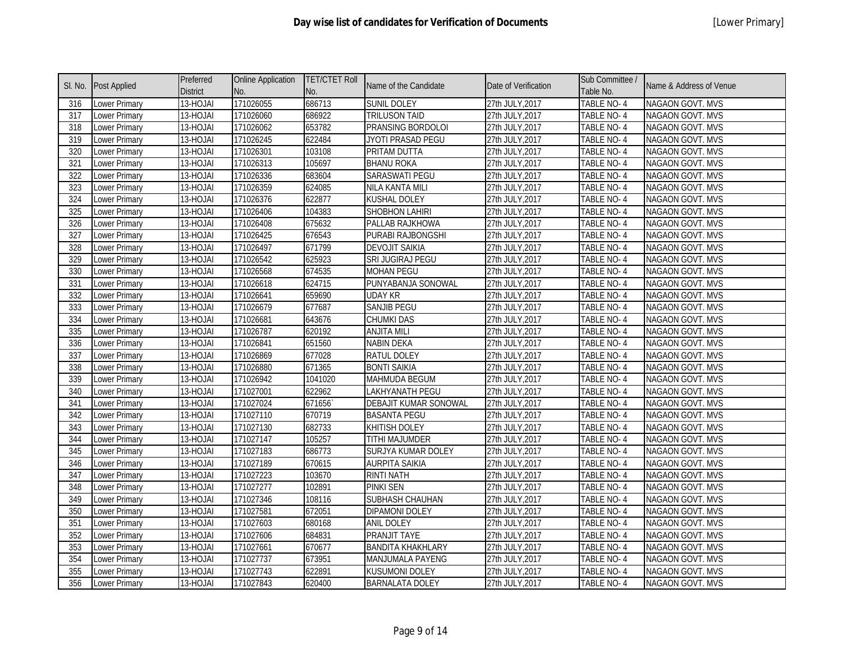| SI. No. | Post Applied         | Preferred<br><b>District</b> | <b>Online Application</b><br>No. | <b>TET/CTET Roll</b><br>No. | Name of the Candidate     | Date of Verification | Sub Committee /<br>Table No. | Name & Address of Venue |
|---------|----------------------|------------------------------|----------------------------------|-----------------------------|---------------------------|----------------------|------------------------------|-------------------------|
| 316     | Lower Primary        | 13-HOJAI                     | 171026055                        | 686713                      | <b>SUNIL DOLEY</b>        | 27th JULY, 2017      | TABLE NO-4                   | NAGAON GOVT. MVS        |
| 317     | Lower Primary        | 13-HOJAI                     | 171026060                        | 686922                      | <b>TRILUSON TAID</b>      | 27th JULY, 2017      | <b>TABLE NO-4</b>            | NAGAON GOVT. MVS        |
| 318     | Lower Primary        | 13-HOJAI                     | 171026062                        | 653782                      | PRANSING BORDOLOI         | 27th JULY, 2017      | TABLE NO-4                   | NAGAON GOVT. MVS        |
| 319     | Lower Primary        | $\overline{13}$ -HOJAI       | 171026245                        | 622484                      | JYOTI PRASAD PEGU         | 27th JULY, 2017      | TABLE NO-4                   | NAGAON GOVT. MVS        |
| 320     | Lower Primary        | 13-HOJAI                     | 171026301                        | 103108                      | PRITAM DUTTA              | 27th JULY, 2017      | TABLE NO-4                   | NAGAON GOVT. MVS        |
| 321     | Lower Primary        | 13-HOJAI                     | 171026313                        | 105697                      | <b>BHANU ROKA</b>         | 27th JULY, 2017      | TABLE NO-4                   | NAGAON GOVT. MVS        |
| 322     | Lower Primary        | 13-HOJAI                     | 171026336                        | 683604                      | SARASWATI PEGU            | 27th JULY, 2017      | TABLE NO-4                   | NAGAON GOVT. MVS        |
| 323     | Lower Primary        | 13-HOJAI                     | 171026359                        | 624085                      | <b>NILA KANTA MILI</b>    | 27th JULY, 2017      | TABLE NO-4                   | NAGAON GOVT. MVS        |
| 324     | Lower Primary        | 13-HOJAI                     | 171026376                        | 622877                      | <b>KUSHAL DOLEY</b>       | 27th JULY, 2017      | TABLE NO-4                   | NAGAON GOVT. MVS        |
| 325     | Lower Primary        | 13-HOJAI                     | 171026406                        | 104383                      | SHOBHON LAHIRI            | 27th JULY, 2017      | TABLE NO-4                   | NAGAON GOVT. MVS        |
| 326     | Lower Primary        | 13-HOJAI                     | 171026408                        | 675632                      | PALLAB RAJKHOWA           | 27th JULY, 2017      | TABLE NO-4                   | NAGAON GOVT. MVS        |
| 327     | Lower Primary        | 13-HOJAI                     | 171026425                        | 676543                      | PURABI RAJBONGSHI         | 27th JULY, 2017      | TABLE NO-4                   | NAGAON GOVT. MVS        |
| 328     | Lower Primary        | 13-HOJAI                     | 171026497                        | 671799                      | <b>DEVOJIT SAIKIA</b>     | 27th JULY, 2017      | TABLE NO-4                   | NAGAON GOVT. MVS        |
| 329     | <b>Lower Primary</b> | 13-HOJAI                     | 171026542                        | 625923                      | SRI JUGIRAJ PEGU          | 27th JULY, 2017      | <b>TABLE NO-4</b>            | NAGAON GOVT. MVS        |
| 330     | <b>Lower Primary</b> | 13-HOJAI                     | 171026568                        | 674535                      | <b>MOHAN PEGU</b>         | 27th JULY, 2017      | TABLE NO-4                   | <b>NAGAON GOVT. MVS</b> |
| 331     | Lower Primary        | 13-HOJAI                     | 171026618                        | 624715                      | PUNYABANJA SONOWAL        | 27th JULY, 2017      | <b>TABLE NO-4</b>            | <b>NAGAON GOVT. MVS</b> |
| 332     | Lower Primary        | 13-HOJAI                     | 171026641                        | 659690                      | <b>UDAY KR</b>            | 27th JULY, 2017      | TABLE NO-4                   | NAGAON GOVT. MVS        |
| 333     | Lower Primary        | 13-HOJAI                     | 171026679                        | 677687                      | <b>SANJIB PEGU</b>        | 27th JULY, 2017      | TABLE NO-4                   | NAGAON GOVT. MVS        |
| 334     | Lower Primary        | 13-HOJAI                     | 171026681                        | 643676                      | <b>CHUMKI DAS</b>         | 27th JULY, 2017      | TABLE NO-4                   | NAGAON GOVT. MVS        |
| 335     | <b>Lower Primary</b> | 13-HOJAI                     | 171026787                        | 620192                      | <b>ANJITA MILI</b>        | 27th JULY, 2017      | TABLE NO-4                   | NAGAON GOVT. MVS        |
| 336     | Lower Primary        | 13-HOJAI                     | 171026841                        | 651560                      | <b>NABIN DEKA</b>         | 27th JULY, 2017      | TABLE NO-4                   | NAGAON GOVT. MVS        |
| 337     | Lower Primary        | 13-HOJAI                     | 171026869                        | 677028                      | <b>RATUL DOLEY</b>        | 27th JULY, 2017      | TABLE NO-4                   | NAGAON GOVT. MVS        |
| 338     | Lower Primary        | 13-HOJAI                     | 171026880                        | 671365                      | <b>BONTI SAIKIA</b>       | 27th JULY, 2017      | TABLE NO-4                   | NAGAON GOVT. MVS        |
| 339     | Lower Primary        | 13-HOJAI                     | 171026942                        | 1041020                     | <b>MAHMUDA BEGUM</b>      | 27th JULY, 2017      | TABLE NO-4                   | NAGAON GOVT. MVS        |
| 340     | Lower Primary        | 13-HOJAI                     | 171027001                        | 622962                      | LAKHYANATH PEGU           | 27th JULY, 2017      | TABLE NO-4                   | NAGAON GOVT. MVS        |
| 341     | Lower Primary        | 13-HOJAI                     | 171027024                        | 671656                      | DEBAJIT KUMAR SONOWAL     | 27th JULY, 2017      | TABLE NO-4                   | NAGAON GOVT. MVS        |
| 342     | Lower Primary        | 13-HOJAI                     | 171027110                        | 670719                      | <b>BASANTA PEGU</b>       | 27th JULY, 2017      | TABLE NO-4                   | NAGAON GOVT. MVS        |
| 343     | Lower Primary        | 13-HOJAI                     | 171027130                        | 682733                      | <b>KHITISH DOLEY</b>      | 27th JULY, 2017      | TABLE NO-4                   | NAGAON GOVT. MVS        |
| 344     | Lower Primary        | 13-HOJAI                     | 171027147                        | 105257                      | TITHI MAJUMDER            | 27th JULY, 2017      | TABLE NO-4                   | NAGAON GOVT. MVS        |
| 345     | Lower Primary        | 13-HOJAI                     | 171027183                        | 686773                      | <b>SURJYA KUMAR DOLEY</b> | 27th JULY, 2017      | TABLE NO-4                   | NAGAON GOVT. MVS        |
| 346     | Lower Primary        | 13-HOJAI                     | 171027189                        | 670615                      | <b>AURPITA SAIKIA</b>     | 27th JULY, 2017      | TABLE NO-4                   | NAGAON GOVT. MVS        |
| 347     | Lower Primary        | 13-HOJAI                     | 171027223                        | 103670                      | <b>RINTI NATH</b>         | 27th JULY, 2017      | TABLE NO-4                   | NAGAON GOVT. MVS        |
| 348     | Lower Primary        | 13-HOJAI                     | 171027277                        | 102891                      | <b>PINKI SEN</b>          | 27th JULY, 2017      | TABLE NO-4                   | NAGAON GOVT. MVS        |
| 349     | Lower Primary        | 13-HOJAI                     | 171027346                        | 108116                      | SUBHASH CHAUHAN           | 27th JULY, 2017      | TABLE NO-4                   | NAGAON GOVT. MVS        |
| 350     | Lower Primary        | 13-HOJAI                     | 171027581                        | 672051                      | <b>DIPAMONI DOLEY</b>     | 27th JULY, 2017      | TABLE NO-4                   | NAGAON GOVT. MVS        |
| 351     | Lower Primary        | 13-HOJAI                     | 171027603                        | 680168                      | <b>ANIL DOLEY</b>         | 27th JULY, 2017      | TABLE NO-4                   | NAGAON GOVT. MVS        |
| 352     | Lower Primary        | 13-HOJAI                     | 171027606                        | 684831                      | <b>PRANJIT TAYE</b>       | 27th JULY, 2017      | TABLE NO-4                   | NAGAON GOVT. MVS        |
| 353     | Lower Primary        | 13-HOJAI                     | 171027661                        | 670677                      | <b>BANDITA KHAKHLARY</b>  | 27th JULY, 2017      | TABLE NO-4                   | NAGAON GOVT. MVS        |
| 354     | Lower Primary        | 13-HOJAI                     | 171027737                        | 673951                      | MANJUMALA PAYENG          | 27th JULY, 2017      | TABLE NO-4                   | NAGAON GOVT. MVS        |
| 355     | Lower Primary        | 13-HOJAI                     | 171027743                        | 622891                      | <b>KUSUMONI DOLEY</b>     | 27th JULY, 2017      | TABLE NO-4                   | NAGAON GOVT. MVS        |
| 356     | Lower Primary        | 13-HOJAI                     | 171027843                        | 620400                      | <b>BARNALATA DOLEY</b>    | 27th JULY, 2017      | TABLE NO-4                   | NAGAON GOVT. MVS        |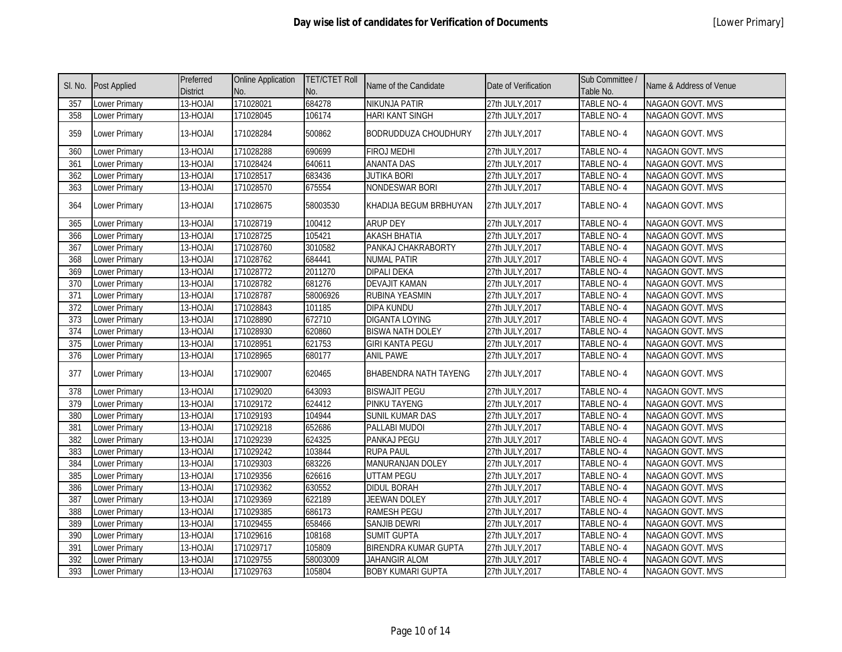|                  | SI. No. Post Applied | Preferred<br><b>District</b> | <b>Online Application</b><br>No. | <b>TET/CTET Roll</b><br>No. | Name of the Candidate        | Date of Verification | Sub Committee /<br>Table No. | Name & Address of Venue |
|------------------|----------------------|------------------------------|----------------------------------|-----------------------------|------------------------------|----------------------|------------------------------|-------------------------|
| 357              | Lower Primary        | 13-HOJAI                     | 171028021                        | 684278                      | NIKUNJA PATIR                | 27th JULY, 2017      | TABLE NO-4                   | NAGAON GOVT. MVS        |
| 358              | <b>Lower Primary</b> | 13-HOJAI                     | 171028045                        | 106174                      | <b>HARI KANT SINGH</b>       | 27th JULY, 2017      | TABLE NO-4                   | NAGAON GOVT. MVS        |
| 359              | Lower Primary        | 13-HOJAI                     | 171028284                        | 500862                      | <b>BODRUDDUZA CHOUDHURY</b>  | 27th JULY, 2017      | TABLE NO-4                   | NAGAON GOVT. MVS        |
| 360              | <b>Lower Primary</b> | 13-HOJAI                     | 171028288                        | 690699                      | <b>FIROJ MEDHI</b>           | 27th JULY, 2017      | TABLE NO-4                   | NAGAON GOVT. MVS        |
| 361              | <b>Lower Primary</b> | 13-HOJAI                     | 171028424                        | 640611                      | <b>ANANTA DAS</b>            | 27th JULY, 2017      | TABLE NO-4                   | <b>NAGAON GOVT. MVS</b> |
| 362              | <b>Lower Primary</b> | 13-HOJAI                     | 171028517                        | 683436                      | <b>JUTIKA BORI</b>           | 27th JULY, 2017      | TABLE NO-4                   | NAGAON GOVT. MVS        |
| $\overline{363}$ | Lower Primary        | 13-HOJAI                     | 171028570                        | 675554                      | NONDESWAR BORI               | 27th JULY, 2017      | TABLE NO-4                   | NAGAON GOVT. MVS        |
| 364              | Lower Primary        | 13-HOJAI                     | 171028675                        | 58003530                    | KHADIJA BEGUM BRBHUYAN       | 27th JULY, 2017      | TABLE NO-4                   | NAGAON GOVT. MVS        |
| 365              | Lower Primary        | 13-HOJAI                     | 171028719                        | 100412                      | <b>ARUP DEY</b>              | 27th JULY, 2017      | TABLE NO-4                   | NAGAON GOVT. MVS        |
| 366              | Lower Primary        | 13-HOJAI                     | 171028725                        | 105421                      | <b>AKASH BHATIA</b>          | 27th JULY, 2017      | TABLE NO-4                   | NAGAON GOVT. MVS        |
| 367              | Lower Primary        | 13-HOJAI                     | 171028760                        | 3010582                     | PANKAJ CHAKRABORTY           | 27th JULY, 2017      | TABLE NO-4                   | NAGAON GOVT. MVS        |
| 368              | Lower Primary        | 13-HOJAI                     | 171028762                        | 684441                      | <b>NUMAL PATIR</b>           | 27th JULY, 2017      | TABLE NO-4                   | <b>NAGAON GOVT. MVS</b> |
| 369              | Lower Primary        | 13-HOJAI                     | 171028772                        | 2011270                     | <b>DIPALI DEKA</b>           | 27th JULY, 2017      | TABLE NO-4                   | NAGAON GOVT. MVS        |
| 370              | Lower Primary        | 13-HOJAI                     | 171028782                        | 681276                      | <b>DEVAJIT KAMAN</b>         | 27th JULY, 2017      | TABLE NO-4                   | NAGAON GOVT. MVS        |
| $\overline{371}$ | Lower Primary        | 13-HOJAI                     | 171028787                        | 58006926                    | <b>RUBINA YEASMIN</b>        | 27th JULY, 2017      | TABLE NO-4                   | NAGAON GOVT. MVS        |
| 372              | Lower Primary        | 13-HOJAI                     | 171028843                        | 101185                      | <b>DIPA KUNDU</b>            | 27th JULY, 2017      | TABLE NO-4                   | NAGAON GOVT. MVS        |
| 373              | Lower Primary        | 13-HOJAI                     | 171028890                        | 672710                      | <b>DIGANTA LOYING</b>        | 27th JULY, 2017      | TABLE NO-4                   | NAGAON GOVT. MVS        |
| 374              | Lower Primary        | 13-HOJAI                     | 171028930                        | 620860                      | <b>BISWA NATH DOLEY</b>      | 27th JULY, 2017      | TABLE NO-4                   | NAGAON GOVT. MVS        |
| 375              | Lower Primary        | 13-HOJAI                     | 171028951                        | 621753                      | <b>GIRI KANTA PEGU</b>       | 27th JULY, 2017      | TABLE NO-4                   | NAGAON GOVT. MVS        |
| 376              | Lower Primary        | 13-HOJAI                     | 171028965                        | 680177                      | <b>ANIL PAWE</b>             | 27th JULY, 2017      | TABLE NO-4                   | NAGAON GOVT. MVS        |
| 377              | Lower Primary        | 13-HOJAI                     | 171029007                        | 620465                      | <b>BHABENDRA NATH TAYENG</b> | 27th JULY.2017       | TABLE NO-4                   | NAGAON GOVT. MVS        |
| 378              | <b>Lower Primary</b> | 13-HOJAI                     | 171029020                        | 643093                      | <b>BISWAJIT PEGU</b>         | 27th JULY, 2017      | <b>TABLE NO-4</b>            | NAGAON GOVT. MVS        |
| 379              | Lower Primary        | 13-HOJAI                     | 171029172                        | 624412                      | PINKU TAYENG                 | 27th JULY, 2017      | TABLE NO-4                   | NAGAON GOVT. MVS        |
| 380              | Lower Primary        | 13-HOJAI                     | 171029193                        | 104944                      | <b>SUNIL KUMAR DAS</b>       | 27th JULY, 2017      | TABLE NO-4                   | NAGAON GOVT. MVS        |
| 381              | Lower Primary        | 13-HOJAI                     | 171029218                        | 652686                      | PALLABI MUDOI                | 27th JULY, 2017      | TABLE NO-4                   | NAGAON GOVT. MVS        |
| 382              | Lower Primary        | 13-HOJAI                     | 171029239                        | 624325                      | PANKAJ PEGU                  | 27th JULY, 2017      | TABLE NO-4                   | NAGAON GOVT. MVS        |
| 383              | Lower Primary        | 13-HOJAI                     | 171029242                        | 103844                      | <b>RUPA PAUL</b>             | 27th JULY, 2017      | TABLE NO-4                   | NAGAON GOVT. MVS        |
| 384              | Lower Primary        | 13-HOJAI                     | 171029303                        | 683226                      | MANURANJAN DOLEY             | 27th JULY, 2017      | TABLE NO-4                   | NAGAON GOVT. MVS        |
| 385              | Lower Primary        | 13-HOJAI                     | 171029356                        | 626616                      | <b>UTTAM PEGU</b>            | 27th JULY, 2017      | <b>TABLE NO-4</b>            | NAGAON GOVT. MVS        |
| 386              | Lower Primary        | 13-HOJAI                     | 171029362                        | 630552                      | <b>DIDUL BORAH</b>           | 27th JULY, 2017      | TABLE NO-4                   | NAGAON GOVT. MVS        |
| 387              | Lower Primary        | 13-HOJAI                     | 171029369                        | 622189                      | <b>JEEWAN DOLEY</b>          | 27th JULY, 2017      | TABLE NO-4                   | NAGAON GOVT. MVS        |
| 388              | Lower Primary        | 13-HOJAI                     | 171029385                        | 686173                      | <b>RAMESH PEGU</b>           | 27th JULY, 2017      | TABLE NO-4                   | NAGAON GOVT. MVS        |
| 389              | Lower Primary        | 13-HOJAI                     | 171029455                        | 658466                      | <b>SANJIB DEWRI</b>          | 27th JULY, 2017      | TABLE NO-4                   | NAGAON GOVT. MVS        |
| 390              | Lower Primary        | 13-HOJAI                     | 171029616                        | 108168                      | <b>SUMIT GUPTA</b>           | 27th JULY, 2017      | TABLE NO-4                   | NAGAON GOVT. MVS        |
| 391              | Lower Primary        | 13-HOJAI                     | 171029717                        | 105809                      | <b>BIRENDRA KUMAR GUPTA</b>  | 27th JULY, 2017      | TABLE NO-4                   | NAGAON GOVT. MVS        |
| 392              | Lower Primary        | 13-HOJAI                     | 171029755                        | 58003009                    | JAHANGIR ALOM                | 27th JULY, 2017      | TABLE NO-4                   | NAGAON GOVT. MVS        |
| 393              | Lower Primary        | 13-HOJAI                     | 171029763                        | 105804                      | <b>BOBY KUMARI GUPTA</b>     | 27th JULY, 2017      | TABLE NO-4                   | <b>NAGAON GOVT. MVS</b> |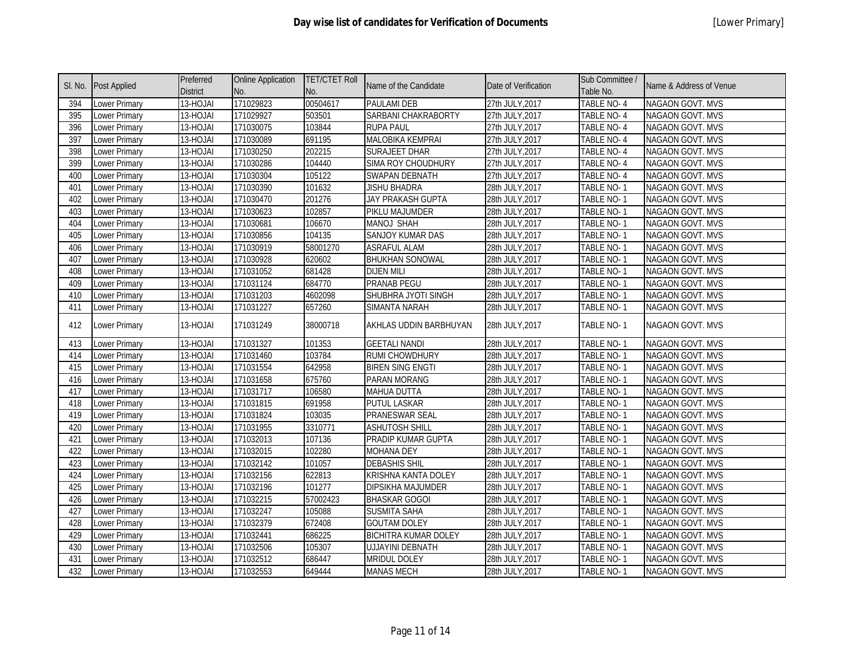|     | SI. No. Post Applied | Preferred<br><b>District</b> | <b>Online Application</b><br>No. | <b>TET/CTET Roll</b><br>No. | Name of the Candidate       | Date of Verification | Sub Committee /<br>Table No. | Name & Address of Venue |
|-----|----------------------|------------------------------|----------------------------------|-----------------------------|-----------------------------|----------------------|------------------------------|-------------------------|
| 394 | Lower Primary        | 13-HOJAI                     | 171029823                        | 00504617                    | <b>PAULAMI DEB</b>          | 27th JULY, 2017      | TABLE NO-4                   | NAGAON GOVT. MVS        |
| 395 | Lower Primary        | 13-HOJAI                     | 171029927                        | 503501                      | SARBANI CHAKRABORTY         | 27th JULY, 2017      | TABLE NO-4                   | NAGAON GOVT. MVS        |
| 396 | Lower Primary        | 13-HOJAI                     | 171030075                        | 103844                      | <b>RUPA PAUL</b>            | 27th JULY, 2017      | TABLE NO-4                   | NAGAON GOVT. MVS        |
| 397 | Lower Primary        | 13-HOJAI                     | 171030089                        | 691195                      | <b>MALOBIKA KEMPRAI</b>     | 27th JULY, 2017      | TABLE NO-4                   | NAGAON GOVT. MVS        |
| 398 | Lower Primary        | 13-HOJAI                     | 171030250                        | 202215                      | <b>SURAJEET DHAR</b>        | 27th JULY, 2017      | TABLE NO-4                   | NAGAON GOVT. MVS        |
| 399 | Lower Primary        | 13-HOJAI                     | 171030286                        | 104440                      | SIMA ROY CHOUDHURY          | 27th JULY, 2017      | TABLE NO-4                   | NAGAON GOVT. MVS        |
| 400 | Lower Primary        | 13-HOJAI                     | 171030304                        | 105122                      | <b>SWAPAN DEBNATH</b>       | 27th JULY, 2017      | TABLE NO-4                   | NAGAON GOVT. MVS        |
| 401 | Lower Primary        | 13-HOJAI                     | 171030390                        | 101632                      | <b>JISHU BHADRA</b>         | 28th JULY, 2017      | TABLE NO-1                   | NAGAON GOVT. MVS        |
| 402 | Lower Primary        | 13-HOJAI                     | 171030470                        | 201276                      | JAY PRAKASH GUPTA           | 28th JULY, 2017      | TABLE NO-1                   | NAGAON GOVT. MVS        |
| 403 | Lower Primary        | 13-HOJAI                     | 171030623                        | 102857                      | PIKLU MAJUMDER              | 28th JULY, 2017      | TABLE NO-1                   | NAGAON GOVT. MVS        |
| 404 | Lower Primary        | 13-HOJAI                     | 171030681                        | 106670                      | <b>MANOJ SHAH</b>           | 28th JULY, 2017      | TABLE NO-1                   | NAGAON GOVT. MVS        |
| 405 | Lower Primary        | 13-HOJAI                     | 171030856                        | 104135                      | SANJOY KUMAR DAS            | 28th JULY, 2017      | TABLE NO-1                   | NAGAON GOVT. MVS        |
| 406 | Lower Primary        | 13-HOJAI                     | 171030919                        | 58001270                    | <b>ASRAFUL ALAM</b>         | 28th JULY, 2017      | TABLE NO-1                   | NAGAON GOVT. MVS        |
| 407 | Lower Primary        | 13-HOJAI                     | 171030928                        | 620602                      | <b>BHUKHAN SONOWAL</b>      | 28th JULY, 2017      | <b>TABLE NO-1</b>            | <b>NAGAON GOVT. MVS</b> |
| 408 | Lower Primary        | 13-HOJAI                     | 171031052                        | 681428                      | <b>DIJEN MILI</b>           | 28th JULY, 2017      | TABLE NO-1                   | NAGAON GOVT. MVS        |
| 409 | Lower Primary        | 13-HOJAI                     | 171031124                        | 684770                      | PRANAB PEGU                 | 28th JULY, 2017      | TABLE NO-1                   | NAGAON GOVT. MVS        |
| 410 | <b>Lower Primary</b> | 13-HOJAI                     | 171031203                        | 4602098                     | SHUBHRA JYOTI SINGH         | 28th JULY, 2017      | TABLE NO-1                   | NAGAON GOVT. MVS        |
| 411 | Lower Primary        | 13-HOJAI                     | 171031227                        | 657260                      | <b>SIMANTA NARAH</b>        | 28th JULY, 2017      | TABLE NO-1                   | NAGAON GOVT. MVS        |
| 412 | Lower Primary        | 13-HOJAI                     | 171031249                        | 38000718                    | AKHLAS UDDIN BARBHUYAN      | 28th JULY, 2017      | TABLE NO-1                   | NAGAON GOVT. MVS        |
| 413 | Lower Primary        | 13-HOJAI                     | 171031327                        | 101353                      | <b>GEETALI NANDI</b>        | 28th JULY, 2017      | TABLE NO-1                   | NAGAON GOVT. MVS        |
| 414 | Lower Primary        | 13-HOJAI                     | 171031460                        | 103784                      | RUMI CHOWDHURY              | 28th JULY, 2017      | TABLE NO-1                   | NAGAON GOVT. MVS        |
| 415 | Lower Primary        | 13-HOJAI                     | 171031554                        | 642958                      | <b>BIREN SING ENGTI</b>     | 28th JULY, 2017      | TABLE NO-1                   | NAGAON GOVT. MVS        |
| 416 | Lower Primary        | 13-HOJAI                     | 171031658                        | 675760                      | PARAN MORANG                | 28th JULY, 2017      | TABLE NO-1                   | NAGAON GOVT. MVS        |
| 417 | Lower Primary        | 13-HOJAI                     | 171031717                        | 106580                      | <b>MAHUA DUTTA</b>          | 28th JULY, 2017      | TABLE NO-1                   | NAGAON GOVT. MVS        |
| 418 | Lower Primary        | 13-HOJAI                     | 171031815                        | 691958                      | <b>PUTUL LASKAR</b>         | 28th JULY, 2017      | TABLE NO-1                   | NAGAON GOVT. MVS        |
| 419 | Lower Primary        | 13-HOJAI                     | 171031824                        | 103035                      | PRANESWAR SEAL              | 28th JULY, 2017      | TABLE NO-1                   | NAGAON GOVT. MVS        |
| 420 | Lower Primary        | 13-HOJAI                     | 171031955                        | 3310771                     | <b>ASHUTOSH SHILL</b>       | 28th JULY, 2017      | TABLE NO-1                   | NAGAON GOVT. MVS        |
| 421 | Lower Primary        | 13-HOJAI                     | 171032013                        | 107136                      | PRADIP KUMAR GUPTA          | 28th JULY, 2017      | TABLE NO-1                   | NAGAON GOVT. MVS        |
| 422 | Lower Primary        | 13-HOJAI                     | 171032015                        | 102280                      | <b>MOHANA DEY</b>           | 28th JULY, 2017      | TABLE NO-1                   | NAGAON GOVT. MVS        |
| 423 | Lower Primary        | 13-HOJAI                     | 171032142                        | 101057                      | <b>DEBASHIS SHIL</b>        | 28th JULY, 2017      | TABLE NO-1                   | NAGAON GOVT. MVS        |
| 424 | Lower Primary        | 13-HOJAI                     | 171032156                        | 622813                      | KRISHNA KANTA DOLEY         | 28th JULY, 2017      | TABLE NO-1                   | NAGAON GOVT. MVS        |
| 425 | Lower Primary        | 13-HOJAI                     | 171032196                        | 101277                      | DIPSIKHA MAJUMDER           | 28th JULY, 2017      | TABLE NO-1                   | NAGAON GOVT. MVS        |
| 426 | Lower Primary        | 13-HOJAI                     | 171032215                        | 57002423                    | <b>BHASKAR GOGOI</b>        | 28th JULY, 2017      | TABLE NO-1                   | NAGAON GOVT. MVS        |
| 427 | Lower Primary        | 13-HOJAI                     | 171032247                        | 105088                      | <b>SUSMITA SAHA</b>         | 28th JULY, 2017      | TABLE NO-1                   | NAGAON GOVT. MVS        |
| 428 | Lower Primary        | 13-HOJAI                     | 171032379                        | 672408                      | <b>GOUTAM DOLEY</b>         | 28th JULY, 2017      | TABLE NO-1                   | NAGAON GOVT. MVS        |
| 429 | Lower Primary        | 13-HOJAI                     | 171032441                        | 686225                      | <b>BICHITRA KUMAR DOLEY</b> | 28th JULY, 2017      | TABLE NO-1                   | NAGAON GOVT. MVS        |
| 430 | Lower Primary        | 13-HOJAI                     | 171032506                        | 105307                      | <b>UJJAYINI DEBNATH</b>     | 28th JULY, 2017      | TABLE NO-1                   | NAGAON GOVT. MVS        |
| 431 | Lower Primary        | 13-HOJAI                     | 171032512                        | 686447                      | <b>MRIDUL DOLEY</b>         | 28th JULY, 2017      | TABLE NO-1                   | NAGAON GOVT. MVS        |
| 432 | <b>Lower Primary</b> | 13-HOJAI                     | 171032553                        | 649444                      | <b>MANAS MECH</b>           | 28th JULY, 2017      | TABLE NO-1                   | NAGAON GOVT. MVS        |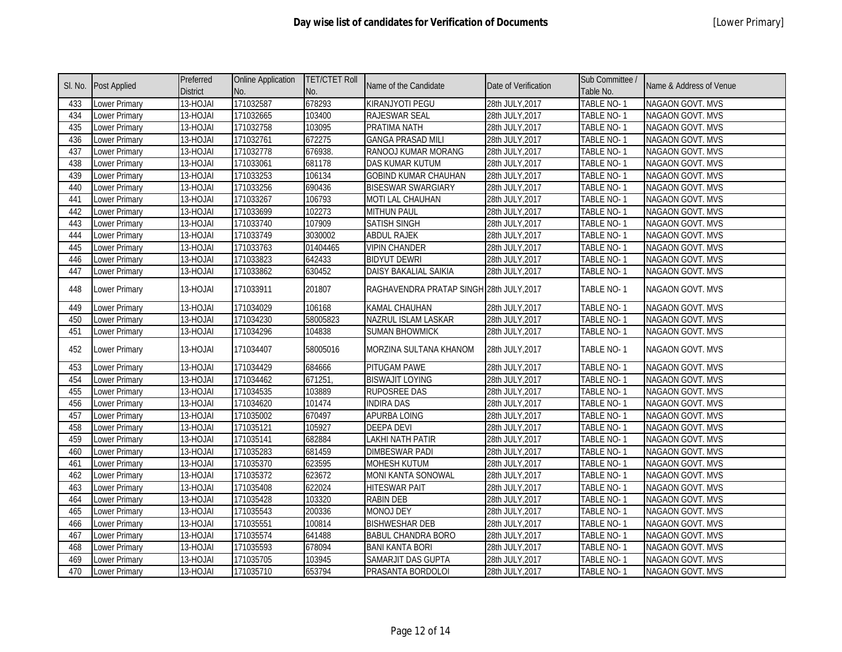|     | SI. No. Post Applied | Preferred<br><b>District</b> | <b>Online Application</b><br>No. | <b>TET/CTET Roll</b><br>No. | Name of the Candidate                    | Date of Verification | Sub Committee /<br>Table No. | Name & Address of Venue |
|-----|----------------------|------------------------------|----------------------------------|-----------------------------|------------------------------------------|----------------------|------------------------------|-------------------------|
| 433 | Lower Primary        | 13-HOJAI                     | 171032587                        | 678293                      | KIRANJYOTI PEGU                          | 28th JULY, 2017      | TABLE NO-1                   | NAGAON GOVT. MVS        |
| 434 | Lower Primary        | 13-HOJAI                     | 171032665                        | 103400                      | RAJESWAR SEAL                            | 28th JULY, 2017      | TABLE NO-1                   | NAGAON GOVT. MVS        |
| 435 | Lower Primary        | 13-HOJAI                     | 171032758                        | 103095                      | PRATIMA NATH                             | 28th JULY, 2017      | TABLE NO-1                   | NAGAON GOVT. MVS        |
| 436 | Lower Primary        | 13-HOJAI                     | 171032761                        | 672275                      | <b>GANGA PRASAD MILI</b>                 | 28th JULY, 2017      | TABLE NO-1                   | NAGAON GOVT. MVS        |
| 437 | Lower Primary        | 13-HOJAI                     | 171032778                        | 676938.                     | RANOOJ KUMAR MORANG                      | 28th JULY, 2017      | TABLE NO-1                   | NAGAON GOVT. MVS        |
| 438 | Lower Primary        | 13-HOJAI                     | 171033061                        | 681178                      | DAS KUMAR KUTUM                          | 28th JULY, 2017      | TABLE NO-1                   | NAGAON GOVT. MVS        |
| 439 | Lower Primary        | 13-HOJAI                     | 171033253                        | 106134                      | <b>GOBIND KUMAR CHAUHAN</b>              | 28th JULY, 2017      | TABLE NO-1                   | NAGAON GOVT. MVS        |
| 440 | Lower Primary        | 13-HOJAI                     | 171033256                        | 690436                      | <b>BISESWAR SWARGIARY</b>                | 28th JULY, 2017      | TABLE NO-1                   | NAGAON GOVT. MVS        |
| 441 | Lower Primary        | 13-HOJAI                     | 171033267                        | 106793                      | MOTI LAL CHAUHAN                         | 28th JULY, 2017      | TABLE NO-1                   | NAGAON GOVT. MVS        |
| 442 | Lower Primary        | 13-HOJAI                     | 171033699                        | 102273                      | <b>MITHUN PAUL</b>                       | 28th JULY, 2017      | TABLE NO-1                   | NAGAON GOVT. MVS        |
| 443 | <b>Lower Primary</b> | 13-HOJAI                     | 171033740                        | 107909                      | SATISH SINGH                             | 28th JULY, 2017      | TABLE NO-1                   | NAGAON GOVT. MVS        |
| 444 | Lower Primary        | 13-HOJAI                     | 171033749                        | 3030002                     | <b>ABDUL RAJEK</b>                       | 28th JULY, 2017      | TABLE NO-1                   | NAGAON GOVT. MVS        |
| 445 | Lower Primary        | 13-HOJAI                     | 171033763                        | 01404465                    | <b>VIPIN CHANDER</b>                     | 28th JULY, 2017      | TABLE NO-1                   | <b>NAGAON GOVT. MVS</b> |
| 446 | Lower Primary        | 13-HOJAI                     | 171033823                        | 642433                      | <b>BIDYUT DEWRI</b>                      | 28th JULY, 2017      | TABLE NO-1                   | NAGAON GOVT. MVS        |
| 447 | <b>Lower Primary</b> | 13-HOJAI                     | 171033862                        | 630452                      | DAISY BAKALIAL SAIKIA                    | 28th JULY, 2017      | TABLE NO-1                   | NAGAON GOVT. MVS        |
| 448 | Lower Primary        | 13-HOJAI                     | 171033911                        | 201807                      | RAGHAVENDRA PRATAP SINGH 28th JULY, 2017 |                      | TABLE NO-1                   | NAGAON GOVT. MVS        |
| 449 | Lower Primary        | 13-HOJAI                     | 171034029                        | 106168                      | <b>KAMAL CHAUHAN</b>                     | 28th JULY, 2017      | TABLE NO-1                   | NAGAON GOVT. MVS        |
| 450 | Lower Primary        | 13-HOJAI                     | 171034230                        | 58005823                    | NAZRUL ISLAM LASKAR                      | 28th JULY, 2017      | TABLE NO-1                   | NAGAON GOVT. MVS        |
| 451 | Lower Primary        | 13-HOJAI                     | 171034296                        | 104838                      | <b>SUMAN BHOWMICK</b>                    | 28th JULY, 2017      | TABLE NO-1                   | NAGAON GOVT. MVS        |
| 452 | Lower Primary        | 13-HOJAI                     | 171034407                        | 58005016                    | MORZINA SULTANA KHANOM                   | 28th JULY, 2017      | TABLE NO-1                   | NAGAON GOVT. MVS        |
| 453 | Lower Primary        | 13-HOJAI                     | 171034429                        | 684666                      | PITUGAM PAWE                             | 28th JULY, 2017      | TABLE NO-1                   | NAGAON GOVT. MVS        |
| 454 | Lower Primary        | 13-HOJAI                     | 171034462                        | 671251                      | <b>BISWAJIT LOYING</b>                   | 28th JULY, 2017      | TABLE NO-1                   | <b>NAGAON GOVT. MVS</b> |
| 455 | Lower Primary        | 13-HOJAI                     | 171034535                        | 103889                      | <b>RUPOSREE DAS</b>                      | 28th JULY, 2017      | TABLE NO-1                   | NAGAON GOVT. MVS        |
| 456 | Lower Primary        | 13-HOJAI                     | 171034620                        | 101474                      | <b>INDIRA DAS</b>                        | 28th JULY, 2017      | TABLE NO-1                   | <b>NAGAON GOVT. MVS</b> |
| 457 | Lower Primary        | 13-HOJAI                     | 171035002                        | 670497                      | <b>APURBA LOING</b>                      | 28th JULY, 2017      | TABLE NO-1                   | NAGAON GOVT. MVS        |
| 458 | Lower Primary        | 13-HOJAI                     | 171035121                        | 105927                      | <b>DEEPA DEVI</b>                        | 28th JULY, 2017      | TABLE NO-1                   | NAGAON GOVT. MVS        |
| 459 | Lower Primary        | 13-HOJAI                     | 171035141                        | 682884                      | LAKHI NATH PATIR                         | 28th JULY, 2017      | <b>TABLE NO-1</b>            | NAGAON GOVT. MVS        |
| 460 | <b>Lower Primary</b> | 13-HOJAI                     | 171035283                        | 681459                      | <b>DIMBESWAR PADI</b>                    | 28th JULY, 2017      | <b>TABLE NO-1</b>            | NAGAON GOVT. MVS        |
| 461 | Lower Primary        | 13-HOJAI                     | 171035370                        | 623595                      | <b>MOHESH KUTUM</b>                      | 28th JULY, 2017      | <b>TABLE NO-1</b>            | NAGAON GOVT. MVS        |
| 462 | Lower Primary        | 13-HOJAI                     | 171035372                        | 623672                      | <b>MONI KANTA SONOWAL</b>                | 28th JULY, 2017      | TABLE NO-1                   | NAGAON GOVT. MVS        |
| 463 | <b>Lower Primary</b> | 13-HOJAI                     | 171035408                        | 622024                      | <b>HITESWAR PAIT</b>                     | 28th JULY, 2017      | TABLE NO-1                   | NAGAON GOVT. MVS        |
| 464 | <b>Lower Primary</b> | 13-HOJAI                     | 171035428                        | 103320                      | <b>RABIN DEB</b>                         | 28th JULY, 2017      | <b>TABLE NO-1</b>            | NAGAON GOVT. MVS        |
| 465 | Lower Primary        | 13-HOJAI                     | 171035543                        | 200336                      | <b>MONOJ DEY</b>                         | 28th JULY, 2017      | <b>TABLE NO-1</b>            | NAGAON GOVT. MVS        |
| 466 | Lower Primary        | 13-HOJAI                     | 171035551                        | 100814                      | <b>BISHWESHAR DEB</b>                    | 28th JULY, 2017      | TABLE NO-1                   | NAGAON GOVT. MVS        |
| 467 | Lower Primary        | 13-HOJAI                     | 171035574                        | 641488                      | <b>BABUL CHANDRA BORO</b>                | 28th JULY, 2017      | TABLE NO-1                   | NAGAON GOVT. MVS        |
| 468 | Lower Primary        | 13-HOJAI                     | 171035593                        | 678094                      | <b>BANI KANTA BORI</b>                   | 28th JULY, 2017      | TABLE NO-1                   | NAGAON GOVT. MVS        |
| 469 | Lower Primary        | 13-HOJAI                     | 171035705                        | 103945                      | SAMARJIT DAS GUPTA                       | 28th JULY, 2017      | TABLE NO-1                   | NAGAON GOVT. MVS        |
| 470 | Lower Primary        | 13-HOJAI                     | 171035710                        | 653794                      | PRASANTA BORDOLOI                        | 28th JULY, 2017      | TABLE NO-1                   | NAGAON GOVT. MVS        |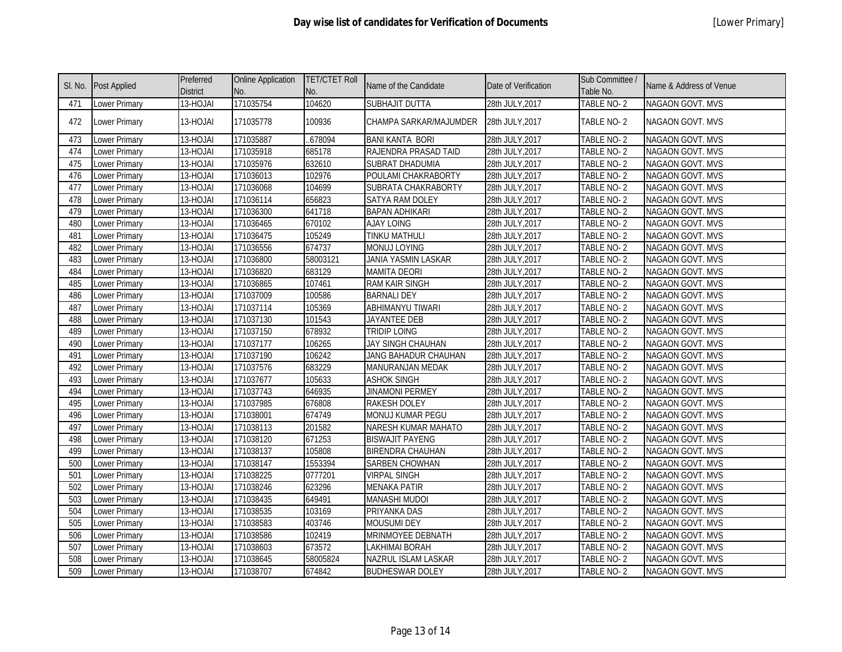|     | SI. No. Post Applied | Preferred<br><b>District</b> | <b>Online Application</b><br>No. | <b>TET/CTET Roll</b><br>No. | Name of the Candidate      | Date of Verification | Sub Committee /<br>Table No. | Name & Address of Venue |
|-----|----------------------|------------------------------|----------------------------------|-----------------------------|----------------------------|----------------------|------------------------------|-------------------------|
| 471 | Lower Primary        | 13-HOJAI                     | 171035754                        | 104620                      | SUBHAJIT DUTTA             | 28th JULY, 2017      | TABLE NO-2                   | <b>NAGAON GOVT. MVS</b> |
| 472 | Lower Primary        | 13-HOJAI                     | 171035778                        | 100936                      | CHAMPA SARKAR/MAJUMDER     | 28th JULY, 2017      | TABLE NO-2                   | NAGAON GOVT. MVS        |
| 473 | Lower Primary        | 13-HOJAI                     | 171035887                        | 678094                      | <b>BANI KANTA BORI</b>     | 28th JULY, 2017      | TABLE NO-2                   | <b>NAGAON GOVT. MVS</b> |
| 474 | Lower Primary        | 13-HOJAI                     | 171035918                        | 685178                      | RAJENDRA PRASAD TAID       | 28th JULY, 2017      | TABLE NO-2                   | <b>NAGAON GOVT. MVS</b> |
| 475 | Lower Primary        | 13-HOJAI                     | 171035976                        | 632610                      | SUBRAT DHADUMIA            | 28th JULY, 2017      | TABLE NO-2                   | NAGAON GOVT. MVS        |
| 476 | <b>Lower Primary</b> | 13-HOJAI                     | 171036013                        | 102976                      | POULAMI CHAKRABORTY        | 28th JULY, 2017      | TABLE NO-2                   | NAGAON GOVT. MVS        |
| 477 | <b>Lower Primary</b> | 13-HOJAI                     | 171036068                        | 104699                      | SUBRATA CHAKRABORTY        | 28th JULY, 2017      | TABLE NO-2                   | <b>NAGAON GOVT. MVS</b> |
| 478 | <b>Lower Primary</b> | 13-HOJAI                     | 171036114                        | 656823                      | SATYA RAM DOLEY            | 28th JULY, 2017      | TABLE NO-2                   | NAGAON GOVT. MVS        |
| 479 | Lower Primary        | 13-HOJAI                     | 171036300                        | 641718                      | <b>BAPAN ADHIKARI</b>      | 28th JULY, 2017      | TABLE NO-2                   | NAGAON GOVT. MVS        |
| 480 | <b>Lower Primary</b> | 13-HOJAI                     | 171036465                        | 670102                      | <b>AJAY LOING</b>          | 28th JULY, 2017      | TABLE NO-2                   | NAGAON GOVT. MVS        |
| 481 | Lower Primary        | 13-HOJAI                     | 171036475                        | 105249                      | TINKU MATHULI              | 28th JULY, 2017      | TABLE NO-2                   | NAGAON GOVT. MVS        |
| 482 | <b>Lower Primary</b> | 13-HOJAI                     | 171036556                        | 674737                      | <b>MONUJ LOYING</b>        | 28th JULY, 2017      | TABLE NO-2                   | NAGAON GOVT. MVS        |
| 483 | Lower Primary        | 13-HOJAI                     | 171036800                        | 58003121                    | JANIA YASMIN LASKAR        | 28th JULY, 2017      | TABLE NO-2                   | NAGAON GOVT. MVS        |
| 484 | Lower Primary        | 13-HOJAI                     | 171036820                        | 683129                      | <b>MAMITA DEORI</b>        | 28th JULY, 2017      | TABLE NO-2                   | NAGAON GOVT. MVS        |
| 485 | <b>Lower Primary</b> | 13-HOJAI                     | 171036865                        | 107461                      | <b>RAM KAIR SINGH</b>      | 28th JULY, 2017      | TABLE NO-2                   | NAGAON GOVT. MVS        |
| 486 | Lower Primary        | 13-HOJAI                     | 171037009                        | 100586                      | <b>BARNALI DEY</b>         | 28th JULY, 2017      | TABLE NO-2                   | NAGAON GOVT. MVS        |
| 487 | Lower Primary        | 13-HOJAI                     | 171037114                        | 105369                      | <b>ABHIMANYU TIWARI</b>    | 28th JULY, 2017      | TABLE NO-2                   | <b>NAGAON GOVT. MVS</b> |
| 488 | Lower Primary        | 13-HOJAI                     | 171037130                        | 101543                      | JAYANTEE DEB               | 28th JULY, 2017      | TABLE NO-2                   | NAGAON GOVT. MVS        |
| 489 | Lower Primary        | 13-HOJAI                     | 171037150                        | 678932                      | <b>TRIDIP LOING</b>        | 28th JULY, 2017      | TABLE NO-2                   | NAGAON GOVT. MVS        |
| 490 | Lower Primary        | 13-HOJAI                     | 171037177                        | 106265                      | JAY SINGH CHAUHAN          | 28th JULY, 2017      | TABLE NO-2                   | <b>NAGAON GOVT. MVS</b> |
| 491 | <b>Lower Primary</b> | 13-HOJAI                     | 171037190                        | 106242                      | JANG BAHADUR CHAUHAN       | 28th JULY, 2017      | TABLE NO-2                   | <b>NAGAON GOVT. MVS</b> |
| 492 | Lower Primary        | 13-HOJAI                     | 171037576                        | 683229                      | MANURANJAN MEDAK           | 28th JULY, 2017      | TABLE NO-2                   | NAGAON GOVT. MVS        |
| 493 | Lower Primary        | 13-HOJAI                     | 171037677                        | 105633                      | <b>ASHOK SINGH</b>         | 28th JULY, 2017      | TABLE NO-2                   | NAGAON GOVT. MVS        |
| 494 | Lower Primary        | 13-HOJAI                     | 171037743                        | 646935                      | <b>JINAMONI PERMEY</b>     | 28th JULY, 2017      | TABLE NO-2                   | NAGAON GOVT. MVS        |
| 495 | Lower Primary        | 13-HOJAI                     | 171037985                        | 676808                      | <b>RAKESH DOLEY</b>        | 28th JULY, 2017      | TABLE NO-2                   | NAGAON GOVT. MVS        |
| 496 | Lower Primary        | 13-HOJAI                     | 171038001                        | 674749                      | MONUJ KUMAR PEGU           | 28th JULY, 2017      | TABLE NO-2                   | NAGAON GOVT. MVS        |
| 497 | Lower Primary        | 13-HOJAI                     | 171038113                        | 201582                      | NARESH KUMAR MAHATO        | 28th JULY, 2017      | TABLE NO-2                   | NAGAON GOVT. MVS        |
| 498 | Lower Primary        | 13-HOJAI                     | 171038120                        | 671253                      | <b>BISWAJIT PAYENG</b>     | 28th JULY, 2017      | TABLE NO-2                   | NAGAON GOVT. MVS        |
| 499 | <b>Lower Primary</b> | 13-HOJAI                     | 171038137                        | 105808                      | <b>BIRENDRA CHAUHAN</b>    | 28th JULY, 2017      | TABLE NO-2                   | NAGAON GOVT. MVS        |
| 500 | Lower Primary        | 13-HOJAI                     | 171038147                        | 1553394                     | SARBEN CHOWHAN             | 28th JULY, 2017      | TABLE NO-2                   | NAGAON GOVT. MVS        |
| 501 | Lower Primary        | 13-HOJAI                     | 171038225                        | 0777201                     | <b>VIRPAL SINGH</b>        | 28th JULY, 2017      | TABLE NO-2                   | NAGAON GOVT. MVS        |
| 502 | <b>Lower Primary</b> | 13-HOJAI                     | 171038246                        | 623296                      | <b>MENAKA PATIR</b>        | 28th JULY, 2017      | TABLE NO-2                   | NAGAON GOVT. MVS        |
| 503 | Lower Primary        | 13-HOJAI                     | 171038435                        | 649491                      | <b>MANASHI MUDOI</b>       | 28th JULY, 2017      | TABLE NO-2                   | NAGAON GOVT. MVS        |
| 504 | Lower Primary        | 13-HOJAI                     | 171038535                        | 103169                      | <b>PRIYANKA DAS</b>        | 28th JULY, 2017      | TABLE NO-2                   | <b>NAGAON GOVT. MVS</b> |
| 505 | Lower Primary        | 13-HOJAI                     | 171038583                        | 403746                      | <b>MOUSUMI DEY</b>         | 28th JULY, 2017      | TABLE NO-2                   | NAGAON GOVT. MVS        |
| 506 | <b>Lower Primary</b> | 13-HOJAI                     | 171038586                        | 102419                      | MRINMOYEE DEBNATH          | 28th JULY, 2017      | TABLE NO-2                   | NAGAON GOVT. MVS        |
| 507 | Lower Primary        | 13-HOJAI                     | 171038603                        | 673572                      | <b>LAKHIMAI BORAH</b>      | 28th JULY, 2017      | TABLE NO-2                   | <b>NAGAON GOVT. MVS</b> |
| 508 | <b>Lower Primary</b> | 13-HOJAI                     | 171038645                        | 58005824                    | <b>NAZRUL ISLAM LASKAR</b> | 28th JULY, 2017      | TABLE NO-2                   | <b>NAGAON GOVT. MVS</b> |
| 509 | <b>Lower Primary</b> | 13-HOJAI                     | 171038707                        | 674842                      | <b>BUDHESWAR DOLEY</b>     | 28th JULY, 2017      | TABLE NO-2                   | NAGAON GOVT. MVS        |